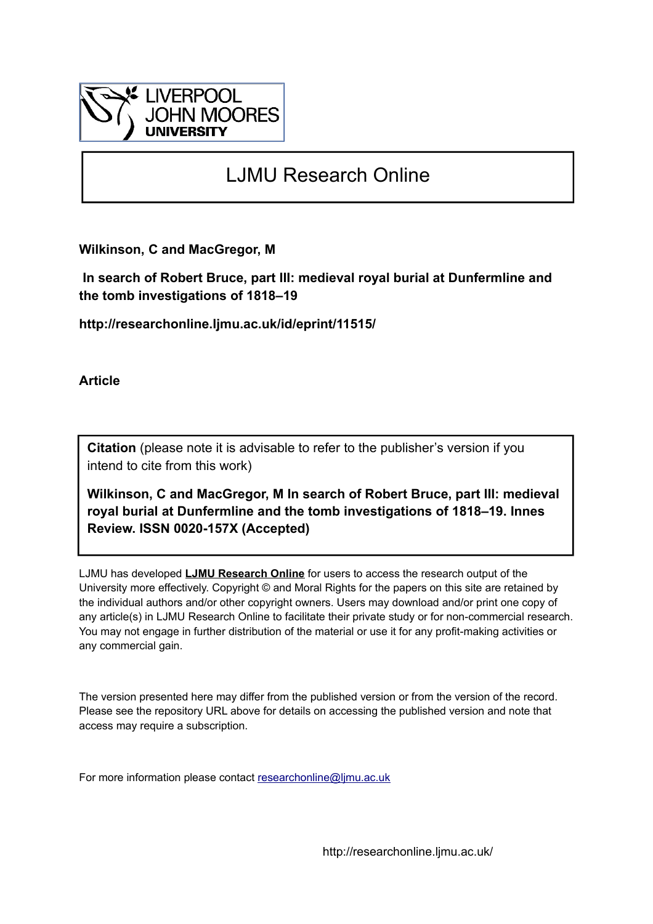

## LJMU Research Online

**Wilkinson, C and MacGregor, M**

 **In search of Robert Bruce, part III: medieval royal burial at Dunfermline and the tomb investigations of 1818–19**

**http://researchonline.ljmu.ac.uk/id/eprint/11515/**

**Article**

**Citation** (please note it is advisable to refer to the publisher's version if you intend to cite from this work)

**Wilkinson, C and MacGregor, M In search of Robert Bruce, part III: medieval royal burial at Dunfermline and the tomb investigations of 1818–19. Innes Review. ISSN 0020-157X (Accepted)** 

LJMU has developed **[LJMU Research Online](http://researchonline.ljmu.ac.uk/)** for users to access the research output of the University more effectively. Copyright © and Moral Rights for the papers on this site are retained by the individual authors and/or other copyright owners. Users may download and/or print one copy of any article(s) in LJMU Research Online to facilitate their private study or for non-commercial research. You may not engage in further distribution of the material or use it for any profit-making activities or any commercial gain.

The version presented here may differ from the published version or from the version of the record. Please see the repository URL above for details on accessing the published version and note that access may require a subscription.

For more information please contact [researchonline@ljmu.ac.uk](mailto:researchonline@ljmu.ac.uk)

http://researchonline.ljmu.ac.uk/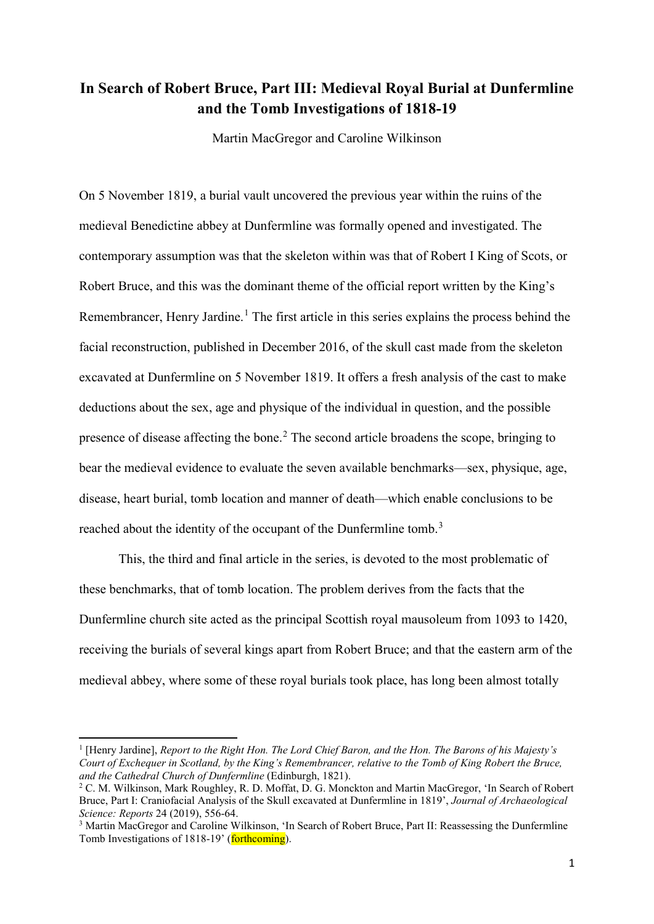## **In Search of Robert Bruce, Part III: Medieval Royal Burial at Dunfermline and the Tomb Investigations of 1818-19**

Martin MacGregor and Caroline Wilkinson

On 5 November 1819, a burial vault uncovered the previous year within the ruins of the medieval Benedictine abbey at Dunfermline was formally opened and investigated. The contemporary assumption was that the skeleton within was that of Robert I King of Scots, or Robert Bruce, and this was the dominant theme of the official report written by the King's Remembrancer, Henry Jardine.<sup>[1](#page-1-0)</sup> The first article in this series explains the process behind the facial reconstruction, published in December 2016, of the skull cast made from the skeleton excavated at Dunfermline on 5 November 1819. It offers a fresh analysis of the cast to make deductions about the sex, age and physique of the individual in question, and the possible presence of disease affecting the bone.<sup>[2](#page-1-1)</sup> The second article broadens the scope, bringing to bear the medieval evidence to evaluate the seven available benchmarks—sex, physique, age, disease, heart burial, tomb location and manner of death—which enable conclusions to be reached about the identity of the occupant of the Dunfermline tomb.<sup>[3](#page-1-2)</sup>

This, the third and final article in the series, is devoted to the most problematic of these benchmarks, that of tomb location. The problem derives from the facts that the Dunfermline church site acted as the principal Scottish royal mausoleum from 1093 to 1420, receiving the burials of several kings apart from Robert Bruce; and that the eastern arm of the medieval abbey, where some of these royal burials took place, has long been almost totally

<span id="page-1-0"></span><sup>1</sup> [Henry Jardine], *Report to the Right Hon. The Lord Chief Baron, and the Hon. The Barons of his Majesty's Court of Exchequer in Scotland, by the King's Remembrancer, relative to the Tomb of King Robert the Bruce, and the Cathedral Church of Dunfermline* (Edinburgh, 1821).

<span id="page-1-1"></span><sup>2</sup> C. M. Wilkinson, Mark Roughley, R. D. Moffat, D. G. Monckton and Martin MacGregor, 'In Search of Robert Bruce, Part I: Craniofacial Analysis of the Skull excavated at Dunfermline in 1819', *Journal of Archaeological Science: Reports* 24 (2019), 556-64.

<span id="page-1-2"></span><sup>3</sup> Martin MacGregor and Caroline Wilkinson, 'In Search of Robert Bruce, Part II: Reassessing the Dunfermline Tomb Investigations of 1818-19' (forthcoming).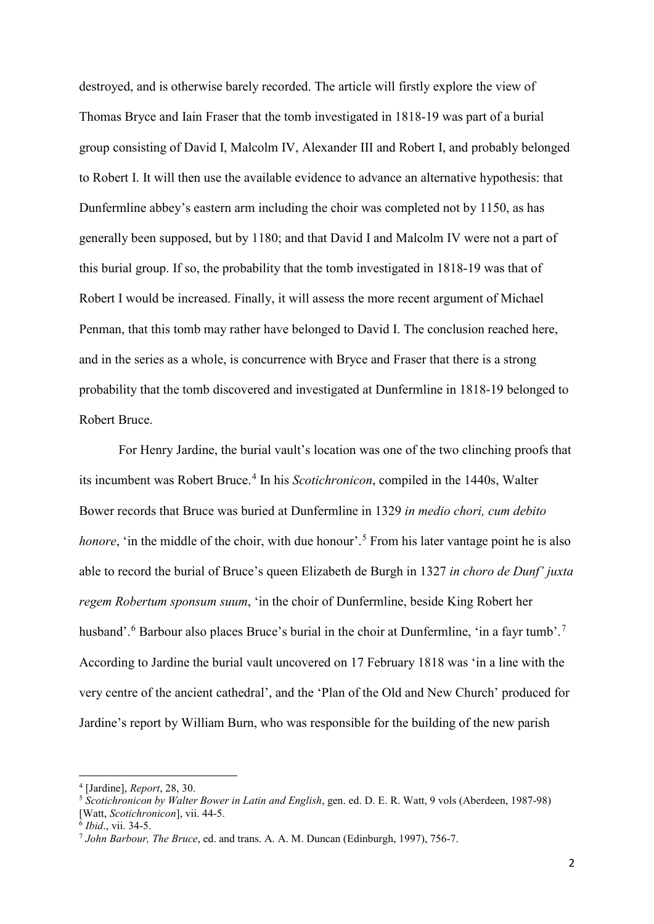destroyed, and is otherwise barely recorded. The article will firstly explore the view of Thomas Bryce and Iain Fraser that the tomb investigated in 1818-19 was part of a burial group consisting of David I, Malcolm IV, Alexander III and Robert I, and probably belonged to Robert I. It will then use the available evidence to advance an alternative hypothesis: that Dunfermline abbey's eastern arm including the choir was completed not by 1150, as has generally been supposed, but by 1180; and that David I and Malcolm IV were not a part of this burial group. If so, the probability that the tomb investigated in 1818-19 was that of Robert I would be increased. Finally, it will assess the more recent argument of Michael Penman, that this tomb may rather have belonged to David I. The conclusion reached here, and in the series as a whole, is concurrence with Bryce and Fraser that there is a strong probability that the tomb discovered and investigated at Dunfermline in 1818-19 belonged to Robert Bruce.

For Henry Jardine, the burial vault's location was one of the two clinching proofs that its incumbent was Robert Bruce.<sup>[4](#page-2-0)</sup> In his *Scotichronicon*, compiled in the 1440s, Walter Bower records that Bruce was buried at Dunfermline in 1329 *in medio chori, cum debito honore*, 'in the middle of the choir, with due honour'.<sup>[5](#page-2-1)</sup> From his later vantage point he is also able to record the burial of Bruce's queen Elizabeth de Burgh in 1327 *in choro de Dunf' juxta regem Robertum sponsum suum*, 'in the choir of Dunfermline, beside King Robert her husband'.<sup>[6](#page-2-2)</sup> Barbour also places Bruce's burial in the choir at Dunfermline, 'in a fayr tumb'.<sup>[7](#page-2-3)</sup> According to Jardine the burial vault uncovered on 17 February 1818 was 'in a line with the very centre of the ancient cathedral', and the 'Plan of the Old and New Church' produced for Jardine's report by William Burn, who was responsible for the building of the new parish

<span id="page-2-0"></span><sup>4</sup> [Jardine], *Report*, 28, 30.

<span id="page-2-1"></span><sup>5</sup> *Scotichronicon by Walter Bower in Latin and English*, gen. ed. D. E. R. Watt, 9 vols (Aberdeen, 1987-98) [Watt, *Scotichronicon*], vii. 44-5.

<span id="page-2-2"></span><sup>6</sup> *Ibid*., vii. 34-5.

<span id="page-2-3"></span><sup>7</sup> *John Barbour, The Bruce*, ed. and trans. A. A. M. Duncan (Edinburgh, 1997), 756-7.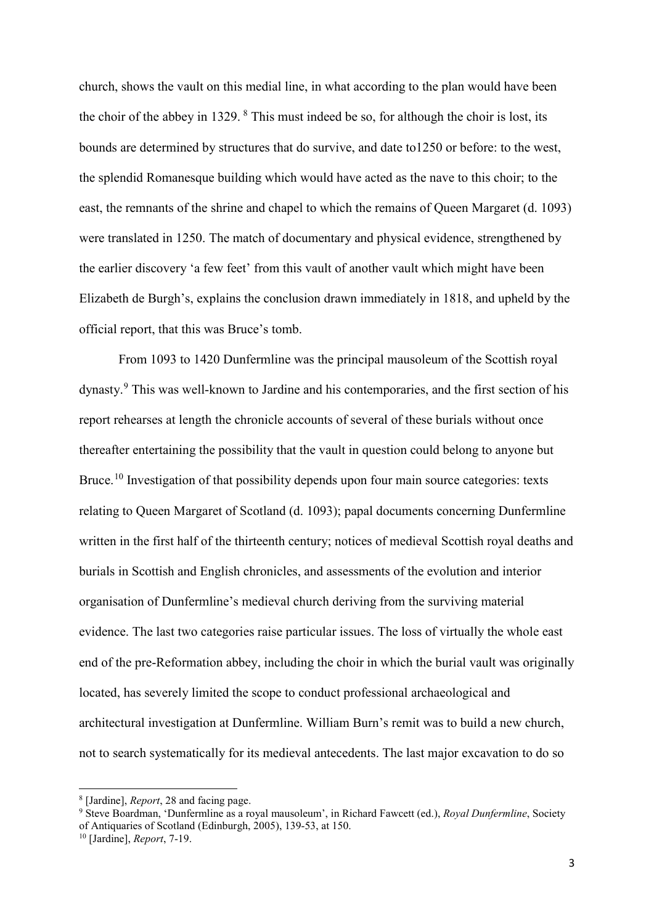church, shows the vault on this medial line, in what according to the plan would have been the choir of the abbey in 1329.  $8$  This must indeed be so, for although the choir is lost, its bounds are determined by structures that do survive, and date to1250 or before: to the west, the splendid Romanesque building which would have acted as the nave to this choir; to the east, the remnants of the shrine and chapel to which the remains of Queen Margaret (d. 1093) were translated in 1250. The match of documentary and physical evidence, strengthened by the earlier discovery 'a few feet' from this vault of another vault which might have been Elizabeth de Burgh's, explains the conclusion drawn immediately in 1818, and upheld by the official report, that this was Bruce's tomb.

From 1093 to 1420 Dunfermline was the principal mausoleum of the Scottish royal dynasty.[9](#page-3-1) This was well-known to Jardine and his contemporaries, and the first section of his report rehearses at length the chronicle accounts of several of these burials without once thereafter entertaining the possibility that the vault in question could belong to anyone but Bruce.<sup>[10](#page-3-2)</sup> Investigation of that possibility depends upon four main source categories: texts relating to Queen Margaret of Scotland (d. 1093); papal documents concerning Dunfermline written in the first half of the thirteenth century; notices of medieval Scottish royal deaths and burials in Scottish and English chronicles, and assessments of the evolution and interior organisation of Dunfermline's medieval church deriving from the surviving material evidence. The last two categories raise particular issues. The loss of virtually the whole east end of the pre-Reformation abbey, including the choir in which the burial vault was originally located, has severely limited the scope to conduct professional archaeological and architectural investigation at Dunfermline. William Burn's remit was to build a new church, not to search systematically for its medieval antecedents. The last major excavation to do so

<sup>8</sup> [Jardine], *Report*, 28 and facing page.

<span id="page-3-1"></span><span id="page-3-0"></span><sup>9</sup> Steve Boardman, 'Dunfermline as a royal mausoleum', in Richard Fawcett (ed.), *Royal Dunfermline*, Society of Antiquaries of Scotland (Edinburgh, 2005), 139-53, at 150.

<span id="page-3-2"></span><sup>10</sup> [Jardine], *Report*, 7-19.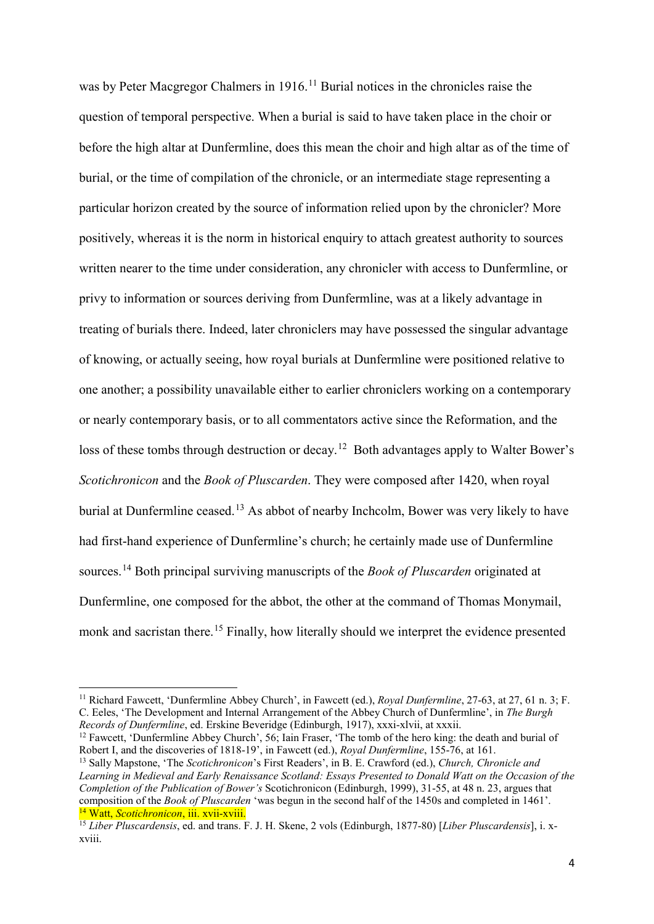was by Peter Macgregor Chalmers in 1916.<sup>[11](#page-4-0)</sup> Burial notices in the chronicles raise the question of temporal perspective. When a burial is said to have taken place in the choir or before the high altar at Dunfermline, does this mean the choir and high altar as of the time of burial, or the time of compilation of the chronicle, or an intermediate stage representing a particular horizon created by the source of information relied upon by the chronicler? More positively, whereas it is the norm in historical enquiry to attach greatest authority to sources written nearer to the time under consideration, any chronicler with access to Dunfermline, or privy to information or sources deriving from Dunfermline, was at a likely advantage in treating of burials there. Indeed, later chroniclers may have possessed the singular advantage of knowing, or actually seeing, how royal burials at Dunfermline were positioned relative to one another; a possibility unavailable either to earlier chroniclers working on a contemporary or nearly contemporary basis, or to all commentators active since the Reformation, and the loss of these tombs through destruction or decay.<sup>12</sup> Both advantages apply to Walter Bower's *Scotichronicon* and the *Book of Pluscarden*. They were composed after 1420, when royal burial at Dunfermline ceased.<sup>[13](#page-4-2)</sup> As abbot of nearby Inchcolm, Bower was very likely to have had first-hand experience of Dunfermline's church; he certainly made use of Dunfermline sources.[14](#page-4-3) Both principal surviving manuscripts of the *Book of Pluscarden* originated at Dunfermline, one composed for the abbot, the other at the command of Thomas Monymail, monk and sacristan there.<sup>[15](#page-4-4)</sup> Finally, how literally should we interpret the evidence presented

**.** 

<span id="page-4-1"></span><sup>12</sup> Fawcett, 'Dunfermline Abbey Church', 56; Iain Fraser, 'The tomb of the hero king: the death and burial of Robert I, and the discoveries of 1818-19', in Fawcett (ed.), *Royal Dunfermline*, 155-76, at 161.

<span id="page-4-2"></span><sup>13</sup> Sally Mapstone, 'The *Scotichronicon*'s First Readers', in B. E. Crawford (ed.), *Church, Chronicle and Learning in Medieval and Early Renaissance Scotland: Essays Presented to Donald Watt on the Occasion of the Completion of the Publication of Bower's* Scotichronicon (Edinburgh, 1999), 31-55, at 48 n. 23, argues that composition of the *Book of Pluscarden* 'was begun in the second half of the 1450s and completed in 1461'. <sup>14</sup> Watt, *Scotichronicon*, iii. xvii-xviii.

<span id="page-4-0"></span><sup>11</sup> Richard Fawcett, 'Dunfermline Abbey Church', in Fawcett (ed.), *Royal Dunfermline*, 27-63, at 27, 61 n. 3; F. C. Eeles, 'The Development and Internal Arrangement of the Abbey Church of Dunfermline', in *The Burgh Records of Dunfermline*, ed. Erskine Beveridge (Edinburgh, 1917), xxxi-xlvii, at xxxii.

<span id="page-4-4"></span><span id="page-4-3"></span><sup>15</sup> *Liber Pluscardensis*, ed. and trans. F. J. H. Skene, 2 vols (Edinburgh, 1877-80) [*Liber Pluscardensis*], i. xxviii.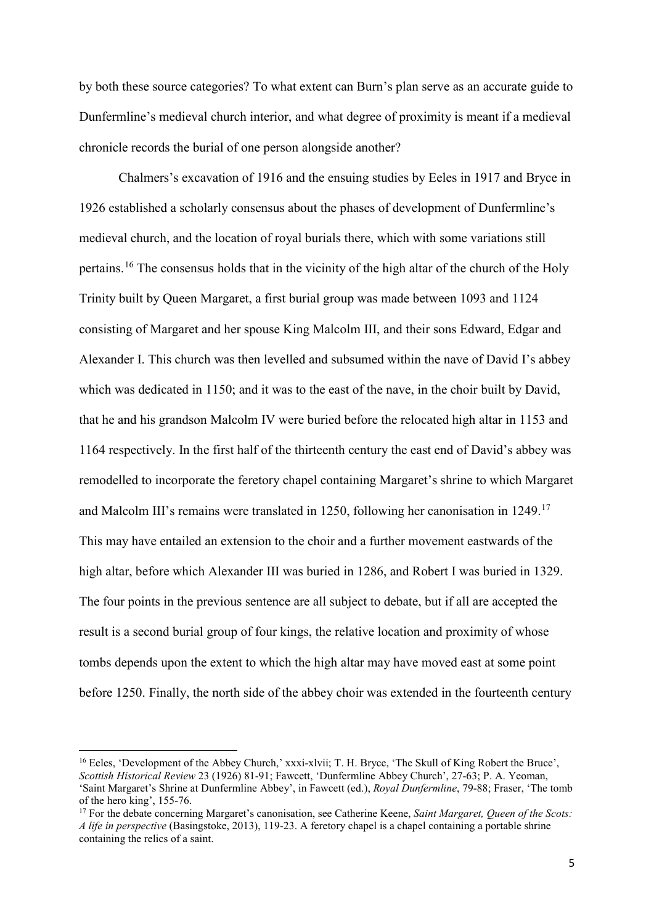by both these source categories? To what extent can Burn's plan serve as an accurate guide to Dunfermline's medieval church interior, and what degree of proximity is meant if a medieval chronicle records the burial of one person alongside another?

Chalmers's excavation of 1916 and the ensuing studies by Eeles in 1917 and Bryce in 1926 established a scholarly consensus about the phases of development of Dunfermline's medieval church, and the location of royal burials there, which with some variations still pertains.[16](#page-5-0) The consensus holds that in the vicinity of the high altar of the church of the Holy Trinity built by Queen Margaret, a first burial group was made between 1093 and 1124 consisting of Margaret and her spouse King Malcolm III, and their sons Edward, Edgar and Alexander I. This church was then levelled and subsumed within the nave of David I's abbey which was dedicated in 1150; and it was to the east of the nave, in the choir built by David, that he and his grandson Malcolm IV were buried before the relocated high altar in 1153 and 1164 respectively. In the first half of the thirteenth century the east end of David's abbey was remodelled to incorporate the feretory chapel containing Margaret's shrine to which Margaret and Malcolm III's remains were translated in 1250, following her canonisation in 1249.[17](#page-5-1) This may have entailed an extension to the choir and a further movement eastwards of the high altar, before which Alexander III was buried in 1286, and Robert I was buried in 1329. The four points in the previous sentence are all subject to debate, but if all are accepted the result is a second burial group of four kings, the relative location and proximity of whose tombs depends upon the extent to which the high altar may have moved east at some point before 1250. Finally, the north side of the abbey choir was extended in the fourteenth century

<span id="page-5-0"></span><sup>&</sup>lt;sup>16</sup> Eeles, 'Development of the Abbey Church,' xxxi-xlvii; T. H. Bryce, 'The Skull of King Robert the Bruce', *Scottish Historical Review* 23 (1926) 81-91; Fawcett, 'Dunfermline Abbey Church', 27-63; P. A. Yeoman, 'Saint Margaret's Shrine at Dunfermline Abbey', in Fawcett (ed.), *Royal Dunfermline*, 79-88; Fraser, 'The tomb of the hero king', 155-76. 17 For the debate concerning Margaret's canonisation, see Catherine Keene, *Saint Margaret, Queen of the Scots:* 

<span id="page-5-1"></span>*A life in perspective* (Basingstoke, 2013), 119-23. A feretory chapel is a chapel containing a portable shrine containing the relics of a saint.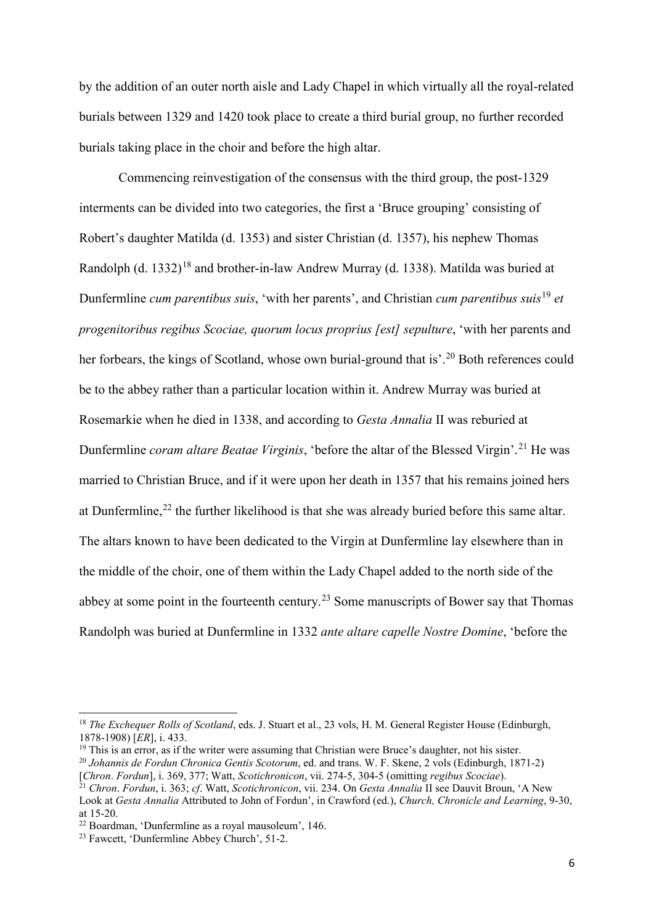by the addition of an outer north aisle and Lady Chapel in which virtually all the royal-related burials between 1329 and 1420 took place to create a third burial group, no further recorded burials taking place in the choir and before the high altar.

Commencing reinvestigation of the consensus with the third group, the post-1329 interments can be divided into two categories, the first a 'Bruce grouping' consisting of Robert's daughter Matilda (d. 1353) and sister Christian (d. 1357), his nephew Thomas Randolph (d. 1332)<sup>[18](#page-6-0)</sup> and brother-in-law Andrew Murray (d. 1338). Matilda was buried at Dunfermline *cum parentibus suis*, 'with her parents', and Christian *cum parentibus suis*[19](#page-6-1) *et progenitoribus regibus Scociae, quorum locus proprius [est] sepulture*, 'with her parents and her forbears, the kings of Scotland, whose own burial-ground that is'.<sup>[20](#page-6-2)</sup> Both references could be to the abbey rather than a particular location within it. Andrew Murray was buried at Rosemarkie when he died in 1338, and according to *Gesta Annalia* II was reburied at Dunfermline *coram altare Beatae Virginis*, 'before the altar of the Blessed Virgin'. [21](#page-6-3) He was married to Christian Bruce, and if it were upon her death in 1357 that his remains joined hers at Dunfermline,<sup>[22](#page-6-4)</sup> the further likelihood is that she was already buried before this same altar. The altars known to have been dedicated to the Virgin at Dunfermline lay elsewhere than in the middle of the choir, one of them within the Lady Chapel added to the north side of the abbey at some point in the fourteenth century.<sup>[23](#page-6-5)</sup> Some manuscripts of Bower say that Thomas Randolph was buried at Dunfermline in 1332 *ante altare capelle Nostre Domine*, 'before the

<span id="page-6-0"></span><sup>&</sup>lt;sup>18</sup> *The Exchequer Rolls of Scotland*, eds. J. Stuart et al., 23 vols, H. M. General Register House (Edinburgh, 1878-1908) [*ER*], i. 433.

<span id="page-6-1"></span> $19$  This is an error, as if the writer were assuming that Christian were Bruce's daughter, not his sister.

<span id="page-6-2"></span><sup>20</sup> *Johannis de Fordun Chronica Gentis Scotorum*, ed. and trans. W. F. Skene, 2 vols (Edinburgh, 1871-2) [*Chron*. *Fordun*], i. 369, 377; Watt, *Scotichronicon*, vii. 274-5, 304-5 (omitting *regibus Scociae*).

<span id="page-6-3"></span><sup>21</sup> *Chron*. *Fordun*, i. 363; *cf*. Watt, *Scotichronicon*, vii. 234. On *Gesta Annalia* II see Dauvit Broun, 'A New Look at *Gesta Annalia* Attributed to John of Fordun', in Crawford (ed.), *Church, Chronicle and Learning*, 9-30, at 15-20.

<span id="page-6-4"></span><sup>22</sup> Boardman, 'Dunfermline as a royal mausoleum', 146.

<span id="page-6-5"></span><sup>23</sup> Fawcett, 'Dunfermline Abbey Church', 51-2.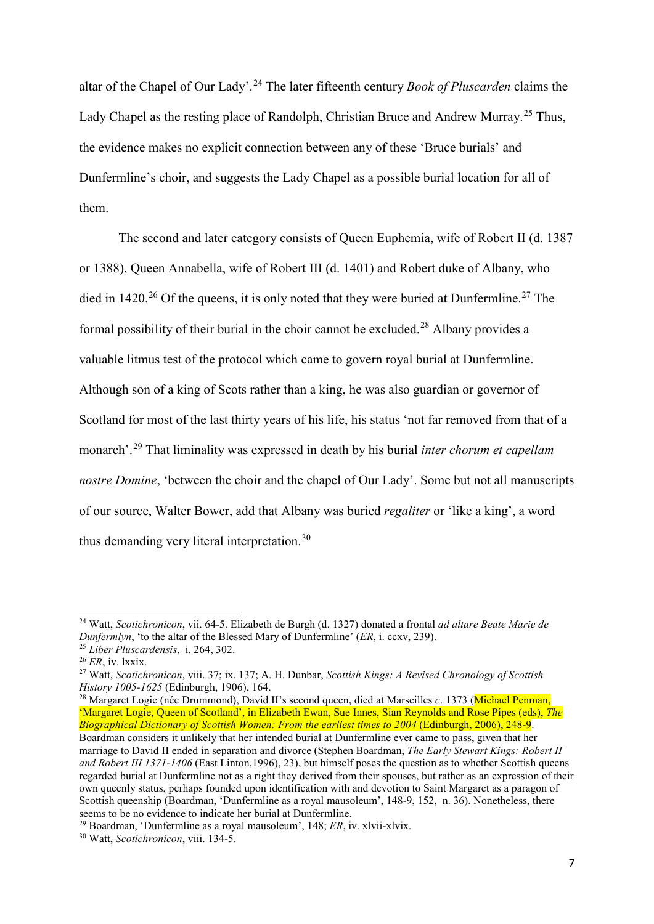altar of the Chapel of Our Lady'. [24](#page-7-0) The later fifteenth century *Book of Pluscarden* claims the Lady Chapel as the resting place of Randolph, Christian Bruce and Andrew Murray. [25](#page-7-1) Thus, the evidence makes no explicit connection between any of these 'Bruce burials' and Dunfermline's choir, and suggests the Lady Chapel as a possible burial location for all of them.

The second and later category consists of Queen Euphemia, wife of Robert II (d. 1387 or 1388), Queen Annabella, wife of Robert III (d. 1401) and Robert duke of Albany, who died in 1420.<sup>[26](#page-7-2)</sup> Of the queens, it is only noted that they were buried at Dunfermline.<sup>[27](#page-7-3)</sup> The formal possibility of their burial in the choir cannot be excluded.<sup>[28](#page-7-4)</sup> Albany provides a valuable litmus test of the protocol which came to govern royal burial at Dunfermline. Although son of a king of Scots rather than a king, he was also guardian or governor of Scotland for most of the last thirty years of his life, his status 'not far removed from that of a monarch'. [29](#page-7-5) That liminality was expressed in death by his burial *inter chorum et capellam nostre Domine*, 'between the choir and the chapel of Our Lady'. Some but not all manuscripts of our source, Walter Bower, add that Albany was buried *regaliter* or 'like a king', a word thus demanding very literal interpretation.<sup>[30](#page-7-6)</sup>

**.** 

<span id="page-7-4"></span><sup>28</sup> Margaret Logie (née Drummond), David II's second queen, died at Marseilles *c.* 1373 (Michael Penman, 'Margaret Logie, Queen of Scotland', in Elizabeth Ewan, Sue Innes, Sian Reynolds and Rose Pipes (eds), *The Biographical Dictionary of Scottish Women: From the earliest times to 2004* (Edinburgh, 2006), 248-9. Boardman considers it unlikely that her intended burial at Dunfermline ever came to pass, given that her marriage to David II ended in separation and divorce (Stephen Boardman, *The Early Stewart Kings: Robert II and Robert III 1371-1406* (East Linton,1996), 23), but himself poses the question as to whether Scottish queens regarded burial at Dunfermline not as a right they derived from their spouses, but rather as an expression of their own queenly status, perhaps founded upon identification with and devotion to Saint Margaret as a paragon of Scottish queenship (Boardman, 'Dunfermline as a royal mausoleum', 148-9, 152, n. 36). Nonetheless, there seems to be no evidence to indicate her burial at Dunfermline.

<span id="page-7-0"></span><sup>24</sup> Watt, *Scotichronicon*, vii. 64-5. Elizabeth de Burgh (d. 1327) donated a frontal *ad altare Beate Marie de Dunfermlyn*, 'to the altar of the Blessed Mary of Dunfermline' (*ER*, i. ccxv, 239). 25 *Liber Pluscardensis*, i. 264, 302.

<span id="page-7-2"></span><span id="page-7-1"></span><sup>26</sup> *ER*, iv. lxxix.

<span id="page-7-3"></span><sup>27</sup> Watt, *Scotichronicon*, viii. 37; ix. 137; A. H. Dunbar, *Scottish Kings: A Revised Chronology of Scottish* 

<span id="page-7-6"></span><span id="page-7-5"></span><sup>29</sup> Boardman, 'Dunfermline as a royal mausoleum', 148; *ER*, iv. xlvii-xlvix. 30 Watt, *Scotichronicon*, viii. 134-5.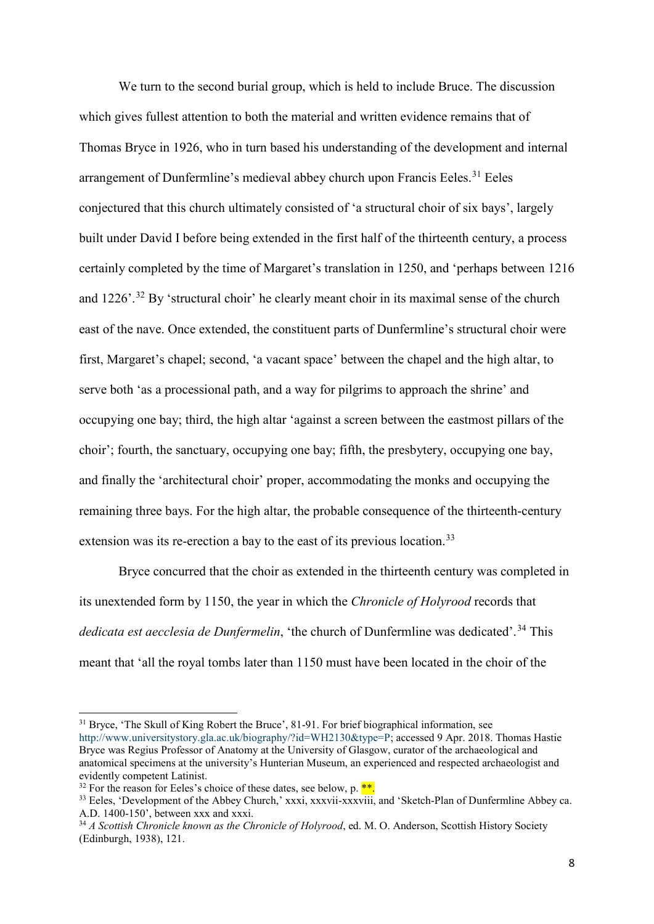We turn to the second burial group, which is held to include Bruce. The discussion which gives fullest attention to both the material and written evidence remains that of Thomas Bryce in 1926, who in turn based his understanding of the development and internal arrangement of Dunfermline's medieval abbey church upon Francis Eeles.<sup>[31](#page-8-0)</sup> Eeles conjectured that this church ultimately consisted of 'a structural choir of six bays', largely built under David I before being extended in the first half of the thirteenth century, a process certainly completed by the time of Margaret's translation in 1250, and 'perhaps between 1216 and  $1226'$ <sup>[32](#page-8-1)</sup> By 'structural choir' he clearly meant choir in its maximal sense of the church east of the nave. Once extended, the constituent parts of Dunfermline's structural choir were first, Margaret's chapel; second, 'a vacant space' between the chapel and the high altar, to serve both 'as a processional path, and a way for pilgrims to approach the shrine' and occupying one bay; third, the high altar 'against a screen between the eastmost pillars of the choir'; fourth, the sanctuary, occupying one bay; fifth, the presbytery, occupying one bay, and finally the 'architectural choir' proper, accommodating the monks and occupying the remaining three bays. For the high altar, the probable consequence of the thirteenth-century extension was its re-erection a bay to the east of its previous location.<sup>[33](#page-8-2)</sup>

Bryce concurred that the choir as extended in the thirteenth century was completed in its unextended form by 1150, the year in which the *Chronicle of Holyrood* records that *dedicata est aecclesia de Dunfermelin*, 'the church of Dunfermline was dedicated'. [34](#page-8-3) This meant that 'all the royal tombs later than 1150 must have been located in the choir of the

<span id="page-8-0"></span><sup>&</sup>lt;sup>31</sup> Bryce, 'The Skull of King Robert the Bruce', 81-91. For brief biographical information, see [http://www.universitystory.gla.ac.uk/biography/?id=WH2130&type=P;](http://www.universitystory.gla.ac.uk/biography/?id=WH2130&type=P) accessed 9 Apr. 2018. Thomas Hastie Bryce was Regius Professor of Anatomy at the University of Glasgow, curator of the archaeological and anatomical specimens at the university's Hunterian Museum, an experienced and respected archaeologist and evidently competent Latinist.

<span id="page-8-1"></span> $32$  For the reason for Eeles's choice of these dates, see below, p. \*\*.

<span id="page-8-2"></span><sup>&</sup>lt;sup>33</sup> Eeles, 'Development of the Abbey Church,' xxxi, xxxvii-xxxviii, and 'Sketch-Plan of Dunfermline Abbey ca. A.D. 1400-150', between xxx and xxxi.

<span id="page-8-3"></span><sup>34</sup> *A Scottish Chronicle known as the Chronicle of Holyrood*, ed. M. O. Anderson, Scottish History Society (Edinburgh, 1938), 121.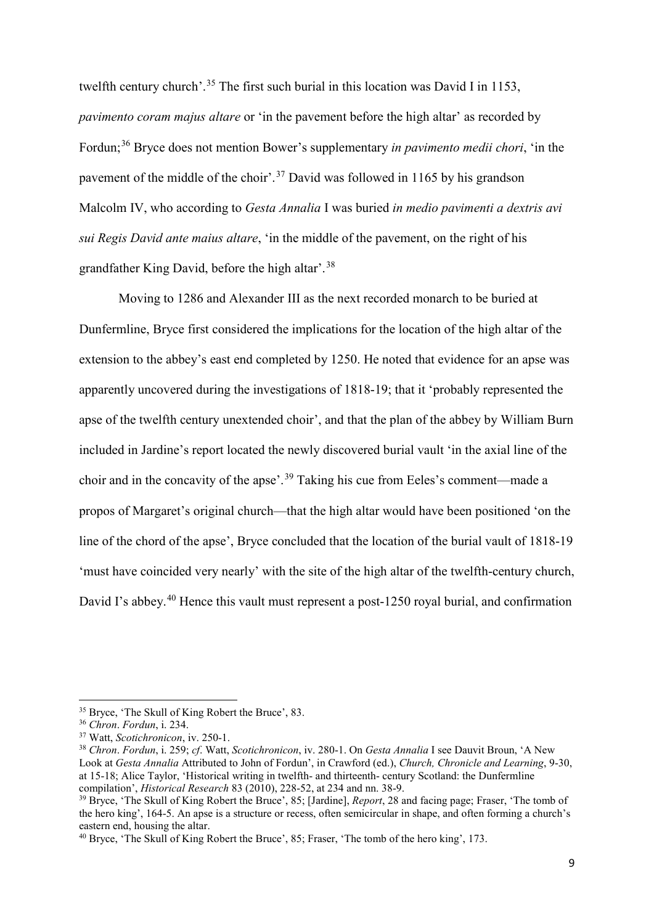twelfth century church'.<sup>[35](#page-9-0)</sup> The first such burial in this location was David I in 1153, *pavimento coram majus altare* or 'in the pavement before the high altar' as recorded by Fordun;[36](#page-9-1) Bryce does not mention Bower's supplementary *in pavimento medii chori*, 'in the pavement of the middle of the choir'.<sup>[37](#page-9-2)</sup> David was followed in 1165 by his grandson Malcolm IV, who according to *Gesta Annalia* I was buried *in medio pavimenti a dextris avi sui Regis David ante maius altare*, 'in the middle of the pavement, on the right of his grandfather King David, before the high altar'.[38](#page-9-3)

Moving to 1286 and Alexander III as the next recorded monarch to be buried at Dunfermline, Bryce first considered the implications for the location of the high altar of the extension to the abbey's east end completed by 1250. He noted that evidence for an apse was apparently uncovered during the investigations of 1818-19; that it 'probably represented the apse of the twelfth century unextended choir', and that the plan of the abbey by William Burn included in Jardine's report located the newly discovered burial vault 'in the axial line of the choir and in the concavity of the apse'.[39](#page-9-4) Taking his cue from Eeles's comment—made a propos of Margaret's original church—that the high altar would have been positioned 'on the line of the chord of the apse', Bryce concluded that the location of the burial vault of 1818-19 'must have coincided very nearly' with the site of the high altar of the twelfth-century church, David I's abbey.<sup>[40](#page-9-5)</sup> Hence this vault must represent a post-1250 royal burial, and confirmation

<span id="page-9-0"></span><sup>35</sup> Bryce, 'The Skull of King Robert the Bruce', 83.

<span id="page-9-1"></span><sup>36</sup> *Chron*. *Fordun*, i. 234.

<span id="page-9-2"></span><sup>37</sup> Watt, *Scotichronicon*, iv. 250-1.

<span id="page-9-3"></span><sup>38</sup> *Chron*. *Fordun*, i. 259; *cf*. Watt, *Scotichronicon*, iv. 280-1. On *Gesta Annalia* I see Dauvit Broun, 'A New Look at *Gesta Annalia* Attributed to John of Fordun', in Crawford (ed.), *Church, Chronicle and Learning*, 9-30, at 15-18; Alice Taylor, 'Historical writing in twelfth- and thirteenth- century Scotland: the Dunfermline compilation', *Historical Research* 83 (2010), 228-52, at 234 and nn. 38-9.

<span id="page-9-4"></span><sup>39</sup> Bryce, 'The Skull of King Robert the Bruce', 85; [Jardine], *Report*, 28 and facing page; Fraser, 'The tomb of the hero king', 164-5. An apse is a structure or recess, often semicircular in shape, and often forming a church's eastern end, housing the altar.

<span id="page-9-5"></span> $40$  Bryce, 'The Skull of King Robert the Bruce', 85; Fraser, 'The tomb of the hero king', 173.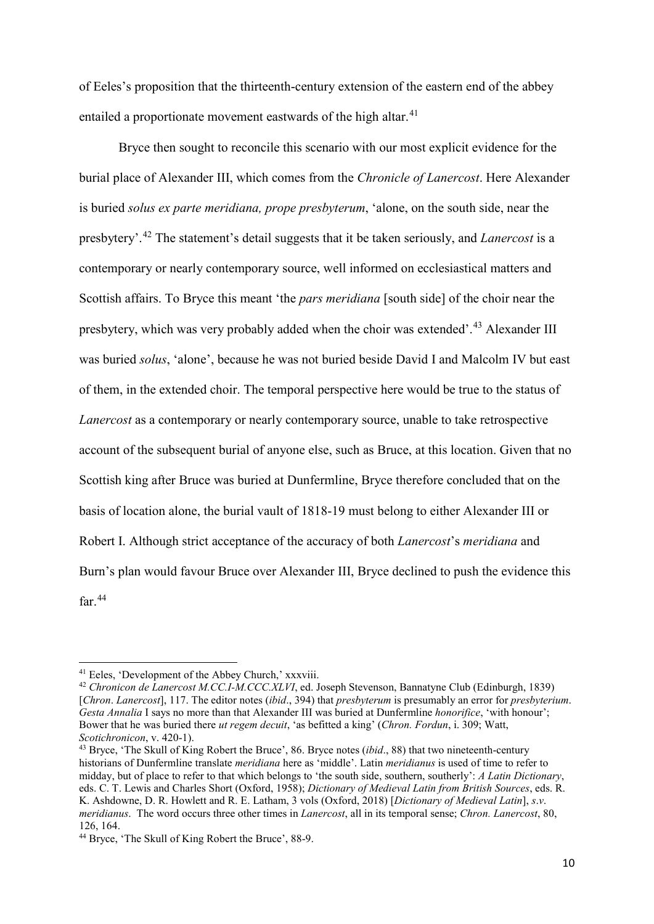of Eeles's proposition that the thirteenth-century extension of the eastern end of the abbey entailed a proportionate movement eastwards of the high altar.<sup>[41](#page-10-0)</sup>

Bryce then sought to reconcile this scenario with our most explicit evidence for the burial place of Alexander III, which comes from the *Chronicle of Lanercost*. Here Alexander is buried *solus ex parte meridiana, prope presbyterum*, 'alone, on the south side, near the presbytery'. [42](#page-10-1) The statement's detail suggests that it be taken seriously, and *Lanercost* is a contemporary or nearly contemporary source, well informed on ecclesiastical matters and Scottish affairs. To Bryce this meant 'the *pars meridiana* [south side] of the choir near the presbytery, which was very probably added when the choir was extended'.[43](#page-10-2) Alexander III was buried *solus*, 'alone', because he was not buried beside David I and Malcolm IV but east of them, in the extended choir. The temporal perspective here would be true to the status of *Lanercost* as a contemporary or nearly contemporary source, unable to take retrospective account of the subsequent burial of anyone else, such as Bruce, at this location. Given that no Scottish king after Bruce was buried at Dunfermline, Bryce therefore concluded that on the basis of location alone, the burial vault of 1818-19 must belong to either Alexander III or Robert I. Although strict acceptance of the accuracy of both *Lanercost*'s *meridiana* and Burn's plan would favour Bruce over Alexander III, Bryce declined to push the evidence this far $44$ 

<span id="page-10-0"></span><sup>&</sup>lt;sup>41</sup> Eeles, 'Development of the Abbey Church,' xxxviii.

<span id="page-10-1"></span><sup>42</sup> *Chronicon de Lanercost M.CC.I-M.CCC.XLVI*, ed. Joseph Stevenson, Bannatyne Club (Edinburgh, 1839) [*Chron*. *Lanercost*], 117. The editor notes (*ibid*., 394) that *presbyterum* is presumably an error for *presbyterium*. *Gesta Annalia* I says no more than that Alexander III was buried at Dunfermline *honorifice*, 'with honour'; Bower that he was buried there *ut regem decuit*, 'as befitted a king' (*Chron. Fordun*, i. 309; Watt, *Scotichronicon*, v. 420-1).

<span id="page-10-2"></span><sup>43</sup> Bryce, 'The Skull of King Robert the Bruce', 86. Bryce notes (*ibid*., 88) that two nineteenth-century historians of Dunfermline translate *meridiana* here as 'middle'. Latin *meridianus* is used of time to refer to midday, but of place to refer to that which belongs to 'the south side, southern, southerly': *A Latin Dictionary*, eds. C. T. Lewis and Charles Short (Oxford, 1958); *Dictionary of Medieval Latin from British Sources*, eds. R. K. Ashdowne, D. R. Howlett and R. E. Latham, 3 vols (Oxford, 2018) [*Dictionary of Medieval Latin*], *s*.*v*. *meridianus*. The word occurs three other times in *Lanercost*, all in its temporal sense; *Chron. Lanercost*, 80, 126, 164.

<span id="page-10-3"></span><sup>44</sup> Bryce, 'The Skull of King Robert the Bruce', 88-9.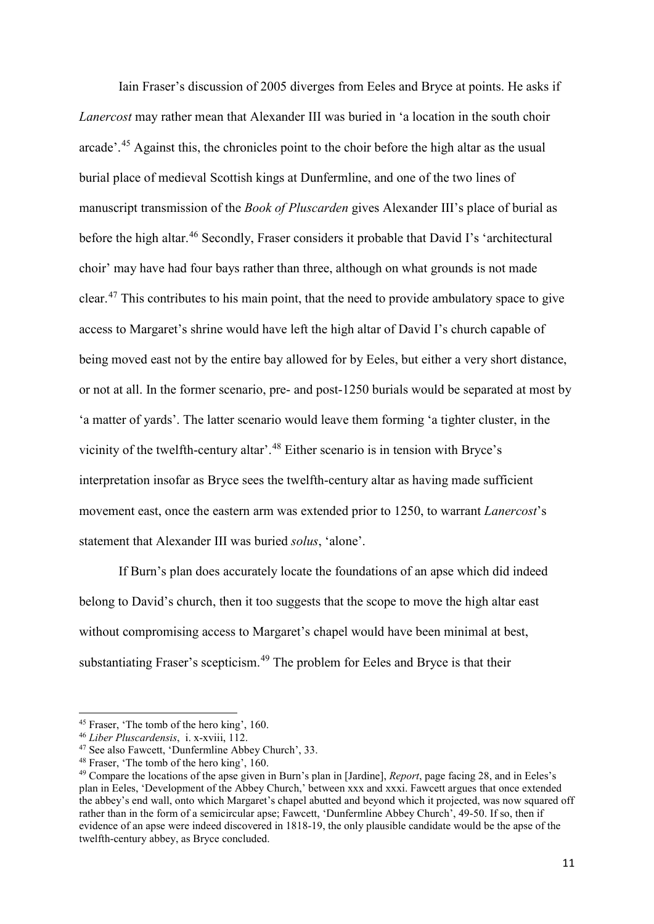Iain Fraser's discussion of 2005 diverges from Eeles and Bryce at points. He asks if *Lanercost* may rather mean that Alexander III was buried in 'a location in the south choir arcade'.[45](#page-11-0) Against this, the chronicles point to the choir before the high altar as the usual burial place of medieval Scottish kings at Dunfermline, and one of the two lines of manuscript transmission of the *Book of Pluscarden* gives Alexander III's place of burial as before the high altar.<sup>[46](#page-11-1)</sup> Secondly, Fraser considers it probable that David I's 'architectural choir' may have had four bays rather than three, although on what grounds is not made clear.<sup>[47](#page-11-2)</sup> This contributes to his main point, that the need to provide ambulatory space to give access to Margaret's shrine would have left the high altar of David I's church capable of being moved east not by the entire bay allowed for by Eeles, but either a very short distance, or not at all. In the former scenario, pre- and post-1250 burials would be separated at most by 'a matter of yards'. The latter scenario would leave them forming 'a tighter cluster, in the vicinity of the twelfth-century altar'.[48](#page-11-3) Either scenario is in tension with Bryce's interpretation insofar as Bryce sees the twelfth-century altar as having made sufficient movement east, once the eastern arm was extended prior to 1250, to warrant *Lanercost*'s statement that Alexander III was buried *solus*, 'alone'.

If Burn's plan does accurately locate the foundations of an apse which did indeed belong to David's church, then it too suggests that the scope to move the high altar east without compromising access to Margaret's chapel would have been minimal at best, substantiating Fraser's scepticism.<sup>[49](#page-11-4)</sup> The problem for Eeles and Bryce is that their

 $\overline{a}$ 

<span id="page-11-1"></span><span id="page-11-0"></span><sup>&</sup>lt;sup>45</sup> Fraser, 'The tomb of the hero king', 160.<br><sup>46</sup> *Liber Pluscardensis*, i. x-xviii, 112.<br><sup>47</sup> See also Fawcett, 'Dunfermline Abbey Church', 33.

<span id="page-11-3"></span><span id="page-11-2"></span><sup>48</sup> Fraser, 'The tomb of the hero king', 160.

<span id="page-11-4"></span><sup>49</sup> Compare the locations of the apse given in Burn's plan in [Jardine], *Report*, page facing 28, and in Eeles's plan in Eeles, 'Development of the Abbey Church,' between xxx and xxxi. Fawcett argues that once extended the abbey's end wall, onto which Margaret's chapel abutted and beyond which it projected, was now squared off rather than in the form of a semicircular apse; Fawcett, 'Dunfermline Abbey Church', 49-50. If so, then if evidence of an apse were indeed discovered in 1818-19, the only plausible candidate would be the apse of the twelfth-century abbey, as Bryce concluded.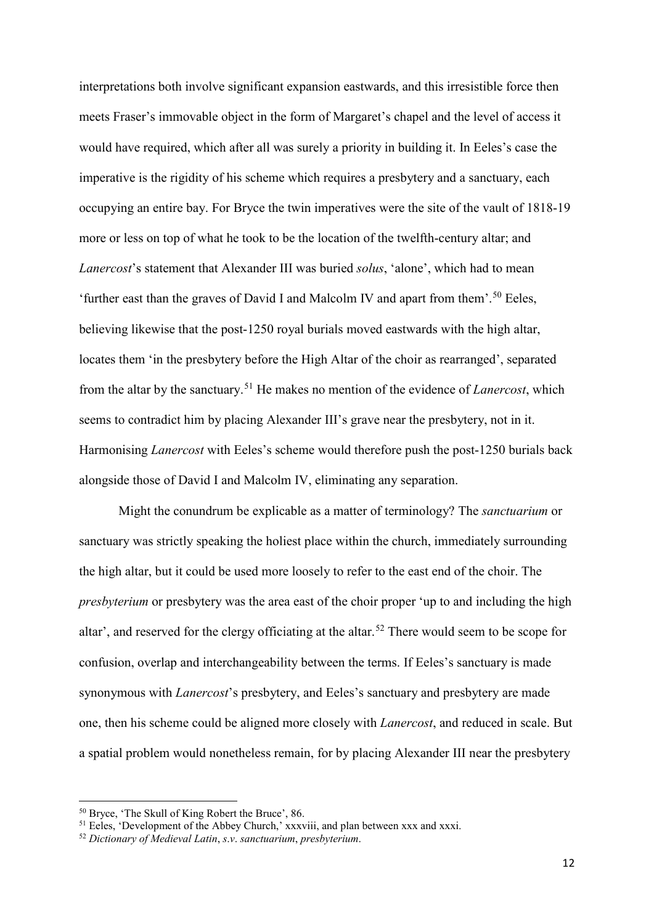interpretations both involve significant expansion eastwards, and this irresistible force then meets Fraser's immovable object in the form of Margaret's chapel and the level of access it would have required, which after all was surely a priority in building it. In Eeles's case the imperative is the rigidity of his scheme which requires a presbytery and a sanctuary, each occupying an entire bay. For Bryce the twin imperatives were the site of the vault of 1818-19 more or less on top of what he took to be the location of the twelfth-century altar; and *Lanercost*'s statement that Alexander III was buried *solus*, 'alone', which had to mean 'further east than the graves of David I and Malcolm IV and apart from them'.<sup>[50](#page-12-0)</sup> Eeles, believing likewise that the post-1250 royal burials moved eastwards with the high altar, locates them 'in the presbytery before the High Altar of the choir as rearranged', separated from the altar by the sanctuary.[51](#page-12-1) He makes no mention of the evidence of *Lanercost*, which seems to contradict him by placing Alexander III's grave near the presbytery, not in it. Harmonising *Lanercost* with Eeles's scheme would therefore push the post-1250 burials back alongside those of David I and Malcolm IV, eliminating any separation.

Might the conundrum be explicable as a matter of terminology? The *sanctuarium* or sanctuary was strictly speaking the holiest place within the church, immediately surrounding the high altar, but it could be used more loosely to refer to the east end of the choir. The *presbyterium* or presbytery was the area east of the choir proper 'up to and including the high altar', and reserved for the clergy officiating at the altar.<sup>[52](#page-12-2)</sup> There would seem to be scope for confusion, overlap and interchangeability between the terms. If Eeles's sanctuary is made synonymous with *Lanercost*'s presbytery, and Eeles's sanctuary and presbytery are made one, then his scheme could be aligned more closely with *Lanercost*, and reduced in scale. But a spatial problem would nonetheless remain, for by placing Alexander III near the presbytery

<span id="page-12-0"></span><sup>50</sup> Bryce, 'The Skull of King Robert the Bruce', 86.

<span id="page-12-1"></span><sup>&</sup>lt;sup>51</sup> Eeles, 'Development of the Abbey Church,' xxxviii, and plan between xxx and xxxi.

<span id="page-12-2"></span><sup>52</sup> *Dictionary of Medieval Latin*, *s*.*v*. *sanctuarium*, *presbyterium*.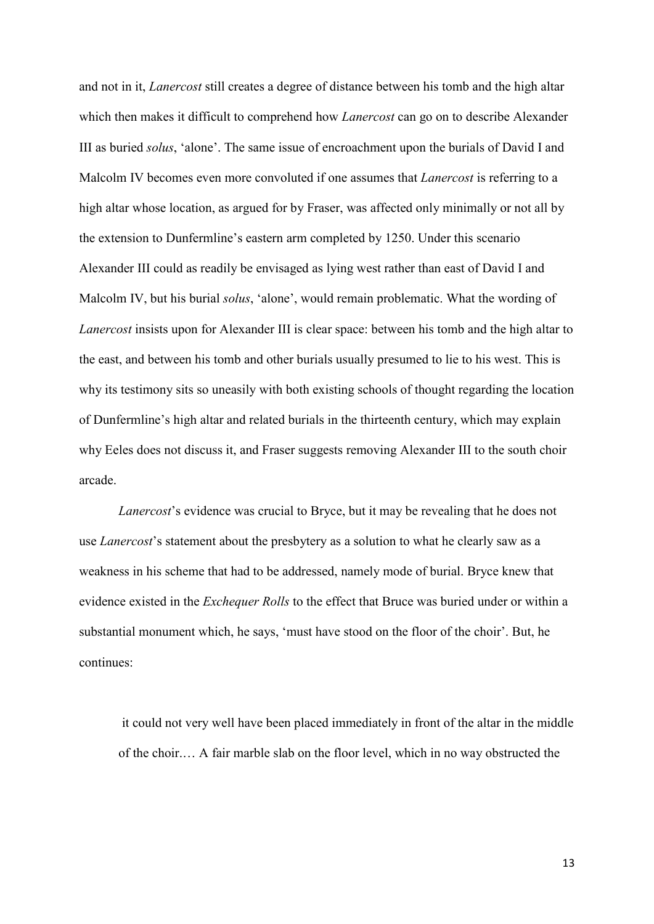and not in it, *Lanercost* still creates a degree of distance between his tomb and the high altar which then makes it difficult to comprehend how *Lanercost* can go on to describe Alexander III as buried *solus*, 'alone'. The same issue of encroachment upon the burials of David I and Malcolm IV becomes even more convoluted if one assumes that *Lanercost* is referring to a high altar whose location, as argued for by Fraser, was affected only minimally or not all by the extension to Dunfermline's eastern arm completed by 1250. Under this scenario Alexander III could as readily be envisaged as lying west rather than east of David I and Malcolm IV, but his burial *solus*, 'alone', would remain problematic. What the wording of *Lanercost* insists upon for Alexander III is clear space: between his tomb and the high altar to the east, and between his tomb and other burials usually presumed to lie to his west. This is why its testimony sits so uneasily with both existing schools of thought regarding the location of Dunfermline's high altar and related burials in the thirteenth century, which may explain why Eeles does not discuss it, and Fraser suggests removing Alexander III to the south choir arcade.

*Lanercost*'s evidence was crucial to Bryce, but it may be revealing that he does not use *Lanercost*'s statement about the presbytery as a solution to what he clearly saw as a weakness in his scheme that had to be addressed, namely mode of burial. Bryce knew that evidence existed in the *Exchequer Rolls* to the effect that Bruce was buried under or within a substantial monument which, he says, 'must have stood on the floor of the choir'. But, he continues:

it could not very well have been placed immediately in front of the altar in the middle of the choir.… A fair marble slab on the floor level, which in no way obstructed the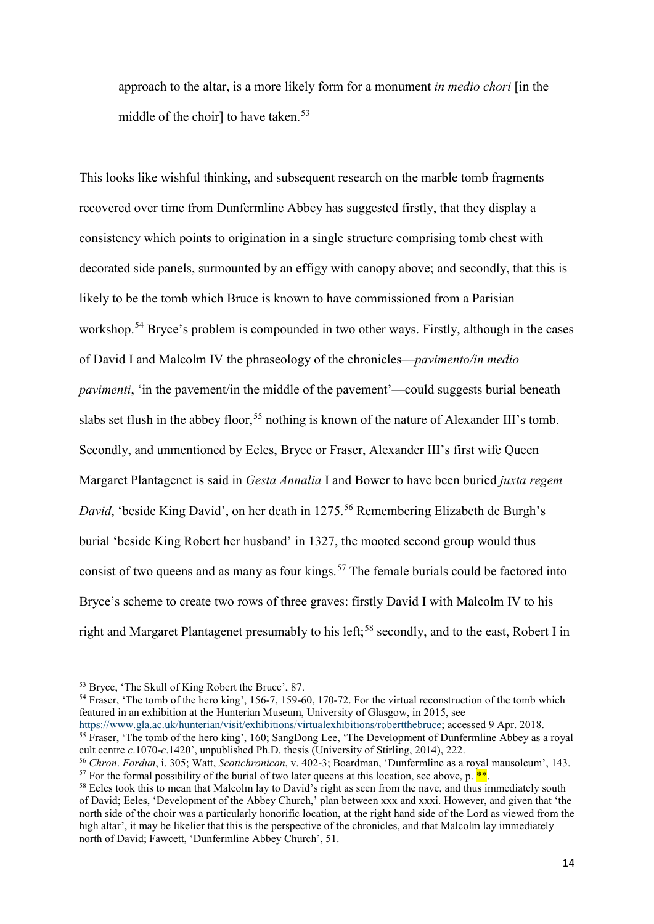approach to the altar, is a more likely form for a monument *in medio chori* [in the middle of the choir] to have taken. [53](#page-14-0)

This looks like wishful thinking, and subsequent research on the marble tomb fragments recovered over time from Dunfermline Abbey has suggested firstly, that they display a consistency which points to origination in a single structure comprising tomb chest with decorated side panels, surmounted by an effigy with canopy above; and secondly, that this is likely to be the tomb which Bruce is known to have commissioned from a Parisian workshop.<sup>[54](#page-14-1)</sup> Bryce's problem is compounded in two other ways. Firstly, although in the cases of David I and Malcolm IV the phraseology of the chronicles—*pavimento/in medio pavimenti*, 'in the pavement/in the middle of the pavement'—could suggests burial beneath slabs set flush in the abbey floor,<sup>[55](#page-14-2)</sup> nothing is known of the nature of Alexander III's tomb. Secondly, and unmentioned by Eeles, Bryce or Fraser, Alexander III's first wife Queen Margaret Plantagenet is said in *Gesta Annalia* I and Bower to have been buried *juxta regem David*, 'beside King David', on her death in 1275.<sup>[56](#page-14-3)</sup> Remembering Elizabeth de Burgh's burial 'beside King Robert her husband' in 1327, the mooted second group would thus consist of two queens and as many as four kings.<sup>[57](#page-14-4)</sup> The female burials could be factored into Bryce's scheme to create two rows of three graves: firstly David I with Malcolm IV to his right and Margaret Plantagenet presumably to his left:<sup>[58](#page-14-5)</sup> secondly, and to the east, Robert I in

<u>.</u>

<span id="page-14-1"></span><span id="page-14-0"></span><sup>53</sup> Bryce, 'The Skull of King Robert the Bruce', 87.<br><sup>54</sup> Fraser, 'The tomb of the hero king', 156-7, 159-60, 170-72. For the virtual reconstruction of the tomb which featured in an exhibition at the Hunterian Museum, University of Glasgow, in 2015, see

[https://www.gla.ac.uk/hunterian/visit/exhibitions/virtualexhibitions/robertthebruce;](https://www.gla.ac.uk/hunterian/visit/exhibitions/virtualexhibitions/robertthebruce/) accessed 9 Apr. 2018.<sup>55</sup> Fraser, 'The tomb of the hero king', 160; SangDong Lee, 'The Development of Dunfermline Abbey as a royal

<span id="page-14-2"></span>cult centre *c*.1070-*c*.1420', unpublished Ph.D. thesis (University of Stirling, 2014), 222.

<span id="page-14-3"></span><sup>&</sup>lt;sup>56</sup> *Chron. Fordun*, i. 305; Watt, *Scotichronicon*, v. 402-3; Boardman, 'Dunfermline as a royal mausoleum', 143.<br><sup>57</sup> For the formal possibility of the burial of two later queens at this location, see above, p. <sup>\*\*</sup>.

<span id="page-14-5"></span><span id="page-14-4"></span> $58$  Eeles took this to mean that Malcolm lay to David's right as seen from the nave, and thus immediately south of David; Eeles, 'Development of the Abbey Church,' plan between xxx and xxxi. However, and given that 'the north side of the choir was a particularly honorific location, at the right hand side of the Lord as viewed from the high altar', it may be likelier that this is the perspective of the chronicles, and that Malcolm lay immediately north of David; Fawcett, 'Dunfermline Abbey Church', 51.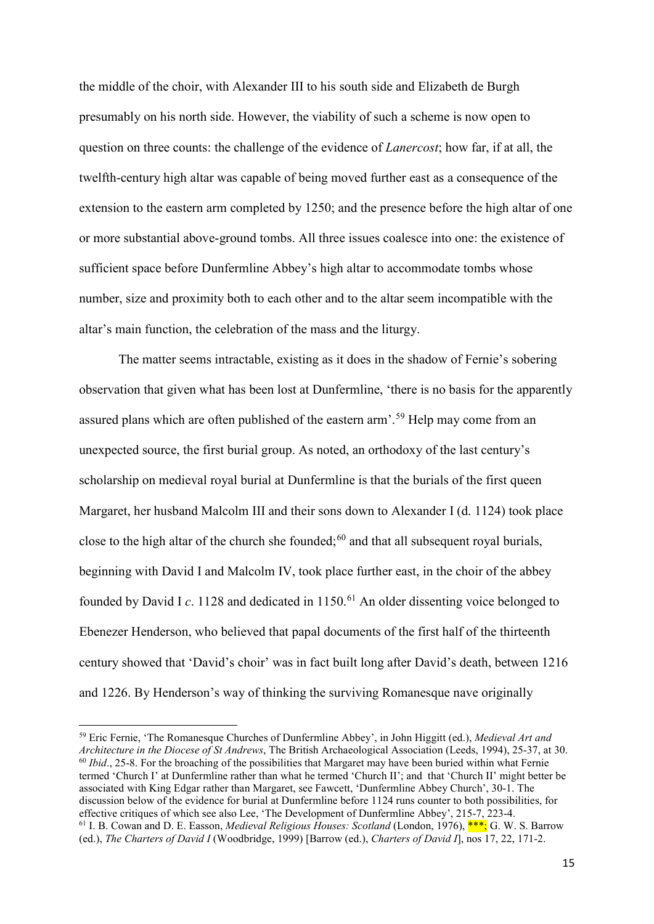the middle of the choir, with Alexander III to his south side and Elizabeth de Burgh presumably on his north side. However, the viability of such a scheme is now open to question on three counts: the challenge of the evidence of *Lanercost*; how far, if at all, the twelfth-century high altar was capable of being moved further east as a consequence of the extension to the eastern arm completed by 1250; and the presence before the high altar of one or more substantial above-ground tombs. All three issues coalesce into one: the existence of sufficient space before Dunfermline Abbey's high altar to accommodate tombs whose number, size and proximity both to each other and to the altar seem incompatible with the altar's main function, the celebration of the mass and the liturgy.

The matter seems intractable, existing as it does in the shadow of Fernie's sobering observation that given what has been lost at Dunfermline, 'there is no basis for the apparently assured plans which are often published of the eastern arm'.[59](#page-15-0) Help may come from an unexpected source, the first burial group. As noted, an orthodoxy of the last century's scholarship on medieval royal burial at Dunfermline is that the burials of the first queen Margaret, her husband Malcolm III and their sons down to Alexander I (d. 1124) took place close to the high altar of the church she founded;  $60$  and that all subsequent royal burials, beginning with David I and Malcolm IV, took place further east, in the choir of the abbey founded by David I *c*. 1128 and dedicated in 1150.<sup>[61](#page-15-2)</sup> An older dissenting voice belonged to Ebenezer Henderson, who believed that papal documents of the first half of the thirteenth century showed that 'David's choir' was in fact built long after David's death, between 1216 and 1226. By Henderson's way of thinking the surviving Romanesque nave originally

<span id="page-15-2"></span><span id="page-15-1"></span><span id="page-15-0"></span><sup>59</sup> Eric Fernie, 'The Romanesque Churches of Dunfermline Abbey', in John Higgitt (ed.), *Medieval Art and Architecture in the Diocese of St Andrews*, The British Archaeological Association (Leeds, 1994), 25-37, at 30. <sup>60</sup> *Ibid.*, 25-8. For the broaching of the possibilities that Margaret may have been buried within what Fernie termed 'Church I' at Dunfermline rather than what he termed 'Church II'; and that 'Church II' might better be associated with King Edgar rather than Margaret, see Fawcett, 'Dunfermline Abbey Church', 30-1. The discussion below of the evidence for burial at Dunfermline before 1124 runs counter to both possibilities, for effective critiques of which see also Lee, 'The Development of Dunfermline Abbey', 215-7, 223-4.<br><sup>61</sup> I. B. Cowan and D. E. Easson, *Medieval Religious Houses: Scotland* (London, 1976), \*\*\*; G. W. S. Barrow (ed.), *The Charters of David I* (Woodbridge, 1999) [Barrow (ed.), *Charters of David I*], nos 17, 22, 171-2.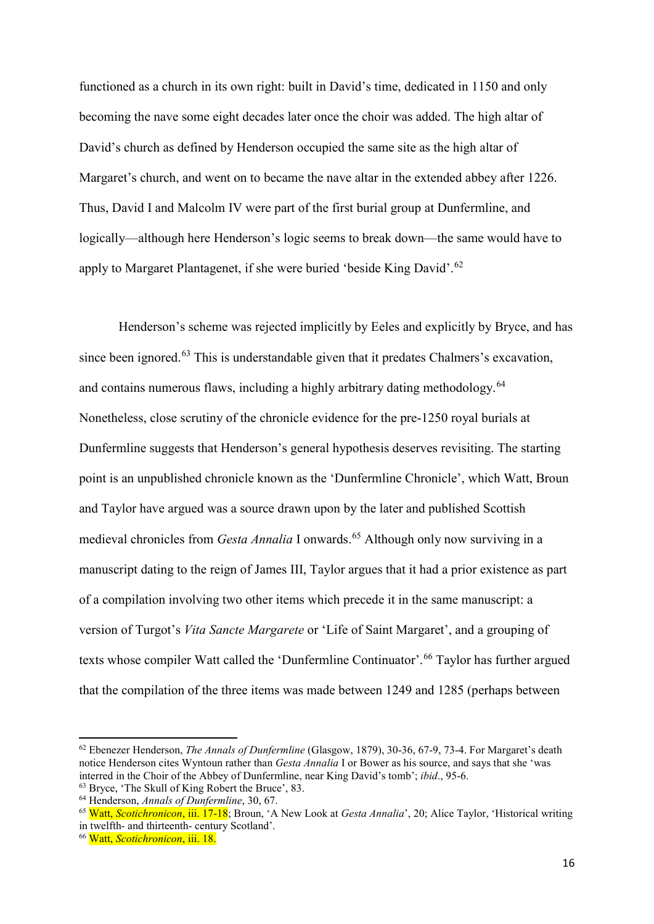functioned as a church in its own right: built in David's time, dedicated in 1150 and only becoming the nave some eight decades later once the choir was added. The high altar of David's church as defined by Henderson occupied the same site as the high altar of Margaret's church, and went on to became the nave altar in the extended abbey after 1226. Thus, David I and Malcolm IV were part of the first burial group at Dunfermline, and logically—although here Henderson's logic seems to break down—the same would have to apply to Margaret Plantagenet, if she were buried 'beside King David'.[62](#page-16-0)

Henderson's scheme was rejected implicitly by Eeles and explicitly by Bryce, and has since been ignored.<sup>[63](#page-16-1)</sup> This is understandable given that it predates Chalmers's excavation, and contains numerous flaws, including a highly arbitrary dating methodology.<sup>[64](#page-16-2)</sup> Nonetheless, close scrutiny of the chronicle evidence for the pre-1250 royal burials at Dunfermline suggests that Henderson's general hypothesis deserves revisiting. The starting point is an unpublished chronicle known as the 'Dunfermline Chronicle', which Watt, Broun and Taylor have argued was a source drawn upon by the later and published Scottish medieval chronicles from *Gesta Annalia* I onwards.<sup>[65](#page-16-3)</sup> Although only now surviving in a manuscript dating to the reign of James III, Taylor argues that it had a prior existence as part of a compilation involving two other items which precede it in the same manuscript: a version of Turgot's *Vita Sancte Margarete* or 'Life of Saint Margaret', and a grouping of texts whose compiler Watt called the 'Dunfermline Continuator'.<sup>[66](#page-16-4)</sup> Taylor has further argued that the compilation of the three items was made between 1249 and 1285 (perhaps between

 $\overline{a}$ 

<span id="page-16-0"></span><sup>62</sup> Ebenezer Henderson, *The Annals of Dunfermline* (Glasgow, 1879), 30-36, 67-9, 73-4. For Margaret's death notice Henderson cites Wyntoun rather than *Gesta Annalia* I or Bower as his source, and says that she 'was interred in the Choir of the Abbey of Dunfermline, near King David's tomb'; *ibid*., 95-6. <sup>63</sup> Bryce, 'The Skull of King Robert the Bruce', 83.

<span id="page-16-2"></span><span id="page-16-1"></span>

<sup>64</sup> Henderson, *Annals of Dunfermline*, 30, 67.

<span id="page-16-3"></span><sup>65</sup> Watt, *Scotichronicon*, iii. 17-18; Broun, 'A New Look at *Gesta Annalia*', 20; Alice Taylor, 'Historical writing in twelfth- and thirteenth- century Scotland'.

<span id="page-16-4"></span><sup>66</sup> Watt, *Scotichronicon*, iii. 18.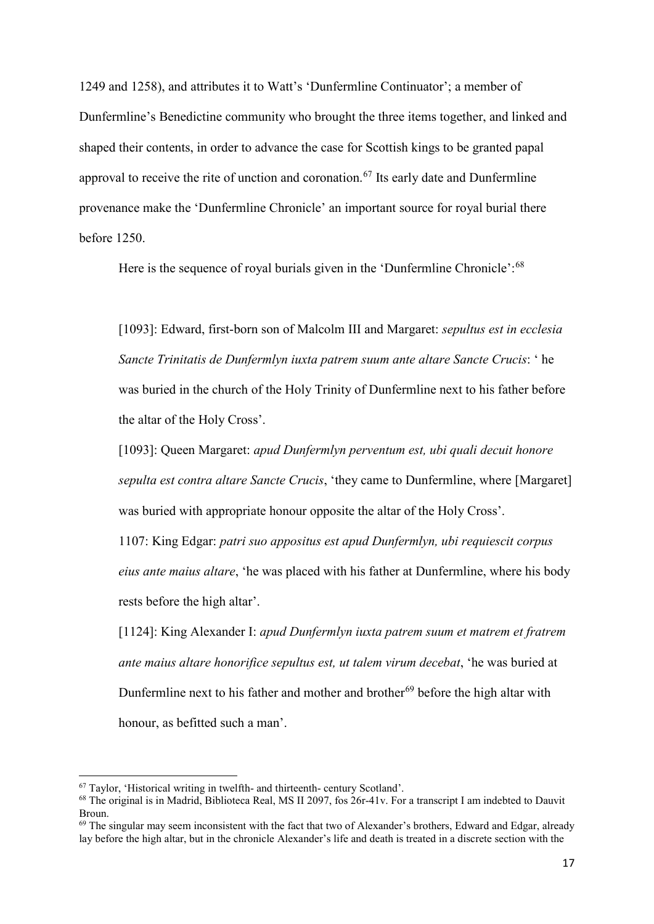1249 and 1258), and attributes it to Watt's 'Dunfermline Continuator'; a member of Dunfermline's Benedictine community who brought the three items together, and linked and shaped their contents, in order to advance the case for Scottish kings to be granted papal approval to receive the rite of unction and coronation.<sup>[67](#page-17-0)</sup> Its early date and Dunfermline provenance make the 'Dunfermline Chronicle' an important source for royal burial there before 1250.

Here is the sequence of royal burials given in the 'Dunfermline Chronicle':<sup>[68](#page-17-1)</sup>

[1093]: Edward, first-born son of Malcolm III and Margaret: *sepultus est in ecclesia Sancte Trinitatis de Dunfermlyn iuxta patrem suum ante altare Sancte Crucis*: ' he was buried in the church of the Holy Trinity of Dunfermline next to his father before the altar of the Holy Cross'.

[1093]: Queen Margaret: *apud Dunfermlyn perventum est, ubi quali decuit honore sepulta est contra altare Sancte Crucis*, 'they came to Dunfermline, where [Margaret] was buried with appropriate honour opposite the altar of the Holy Cross'.

1107: King Edgar: *patri suo appositus est apud Dunfermlyn, ubi requiescit corpus eius ante maius altare*, 'he was placed with his father at Dunfermline, where his body rests before the high altar'.

[1124]: King Alexander I: *apud Dunfermlyn iuxta patrem suum et matrem et fratrem ante maius altare honorifice sepultus est, ut talem virum decebat*, 'he was buried at Dunfermline next to his father and mother and brother<sup>[69](#page-17-2)</sup> before the high altar with honour, as befitted such a man'.

<span id="page-17-0"></span><sup>67</sup> Taylor, 'Historical writing in twelfth- and thirteenth- century Scotland'.

<span id="page-17-1"></span><sup>68</sup> The original is in Madrid, Biblioteca Real, MS II 2097, fos 26r-41v. For a transcript I am indebted to Dauvit Broun.

<span id="page-17-2"></span> $69$  The singular may seem inconsistent with the fact that two of Alexander's brothers, Edward and Edgar, already lay before the high altar, but in the chronicle Alexander's life and death is treated in a discrete section with the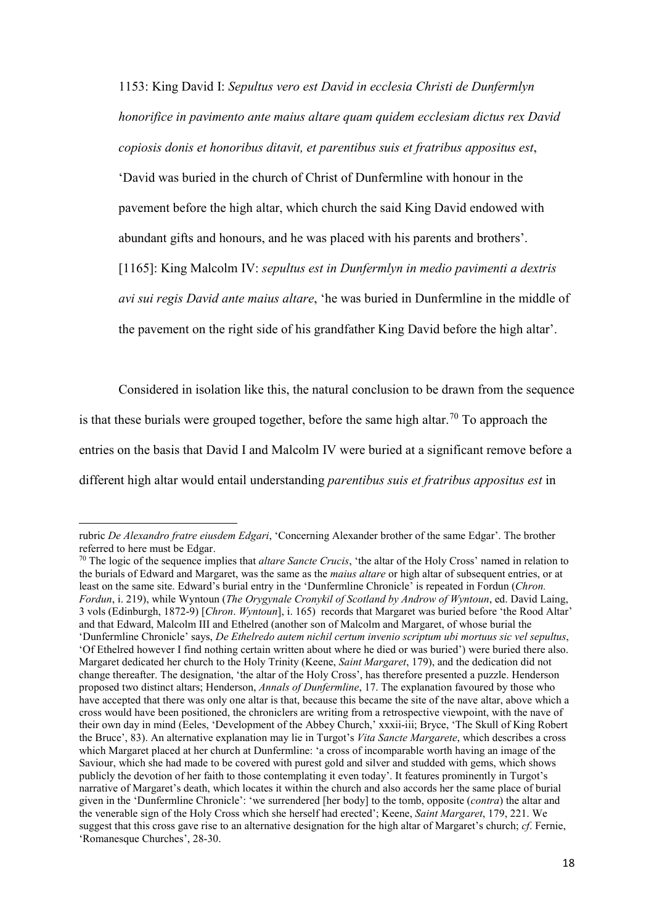1153: King David I: *Sepultus vero est David in ecclesia Christi de Dunfermlyn honorifice in pavimento ante maius altare quam quidem ecclesiam dictus rex David copiosis donis et honoribus ditavit, et parentibus suis et fratribus appositus est*, 'David was buried in the church of Christ of Dunfermline with honour in the pavement before the high altar, which church the said King David endowed with abundant gifts and honours, and he was placed with his parents and brothers'. [1165]: King Malcolm IV: *sepultus est in Dunfermlyn in medio pavimenti a dextris avi sui regis David ante maius altare*, 'he was buried in Dunfermline in the middle of the pavement on the right side of his grandfather King David before the high altar'.

Considered in isolation like this, the natural conclusion to be drawn from the sequence is that these burials were grouped together, before the same high altar.<sup>[70](#page-18-0)</sup> To approach the entries on the basis that David I and Malcolm IV were buried at a significant remove before a different high altar would entail understanding *parentibus suis et fratribus appositus est* in

rubric *De Alexandro fratre eiusdem Edgari*, 'Concerning Alexander brother of the same Edgar'. The brother referred to here must be Edgar.

<span id="page-18-0"></span><sup>70</sup> The logic of the sequence implies that *altare Sancte Crucis*, 'the altar of the Holy Cross' named in relation to the burials of Edward and Margaret, was the same as the *maius altare* or high altar of subsequent entries, or at least on the same site. Edward's burial entry in the 'Dunfermline Chronicle' is repeated in Fordun (*Chron. Fordun*, i. 219), while Wyntoun (*The Orygynale Cronykil of Scotland by Androw of Wyntoun*, ed. David Laing, 3 vols (Edinburgh, 1872-9) [*Chron*. *Wyntoun*], i. 165) records that Margaret was buried before 'the Rood Altar' and that Edward, Malcolm III and Ethelred (another son of Malcolm and Margaret, of whose burial the 'Dunfermline Chronicle' says, *De Ethelredo autem nichil certum invenio scriptum ubi mortuus sic vel sepultus*, 'Of Ethelred however I find nothing certain written about where he died or was buried') were buried there also. Margaret dedicated her church to the Holy Trinity (Keene, *Saint Margaret*, 179), and the dedication did not change thereafter. The designation, 'the altar of the Holy Cross', has therefore presented a puzzle. Henderson proposed two distinct altars; Henderson, *Annals of Dunfermline*, 17. The explanation favoured by those who have accepted that there was only one altar is that, because this became the site of the nave altar, above which a cross would have been positioned, the chroniclers are writing from a retrospective viewpoint, with the nave of their own day in mind (Eeles, 'Development of the Abbey Church,' xxxii-iii; Bryce, 'The Skull of King Robert the Bruce', 83). An alternative explanation may lie in Turgot's *Vita Sancte Margarete*, which describes a cross which Margaret placed at her church at Dunfermline: 'a cross of incomparable worth having an image of the Saviour, which she had made to be covered with purest gold and silver and studded with gems, which shows publicly the devotion of her faith to those contemplating it even today'. It features prominently in Turgot's narrative of Margaret's death, which locates it within the church and also accords her the same place of burial given in the 'Dunfermline Chronicle': 'we surrendered [her body] to the tomb, opposite (*contra*) the altar and the venerable sign of the Holy Cross which she herself had erected'; Keene, *Saint Margaret*, 179, 221. We suggest that this cross gave rise to an alternative designation for the high altar of Margaret's church; *cf*. Fernie, 'Romanesque Churches', 28-30.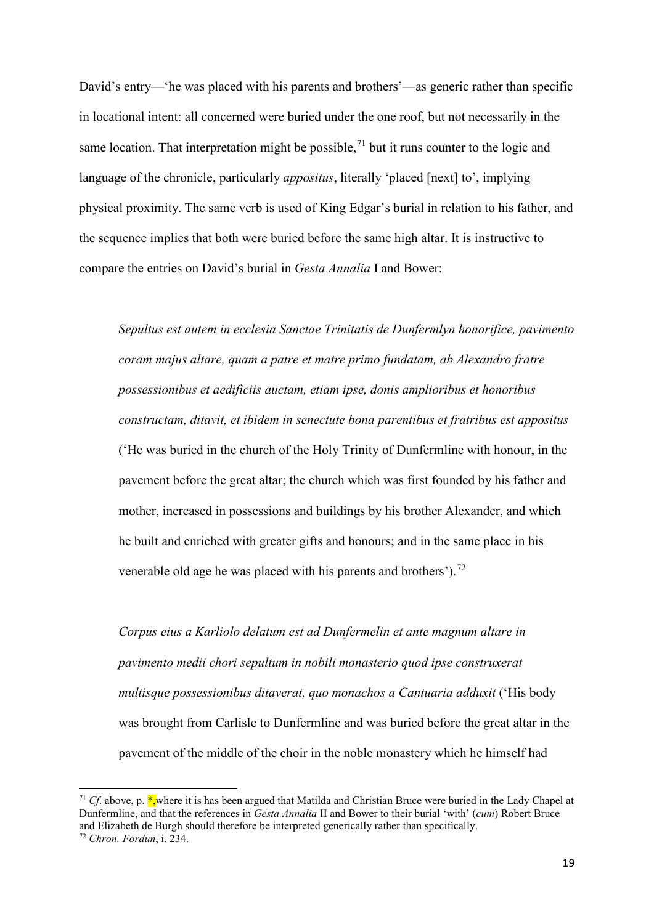David's entry—'he was placed with his parents and brothers'—as generic rather than specific in locational intent: all concerned were buried under the one roof, but not necessarily in the same location. That interpretation might be possible,  $71$  but it runs counter to the logic and language of the chronicle, particularly *appositus*, literally 'placed [next] to', implying physical proximity. The same verb is used of King Edgar's burial in relation to his father, and the sequence implies that both were buried before the same high altar. It is instructive to compare the entries on David's burial in *Gesta Annalia* I and Bower:

*Sepultus est autem in ecclesia Sanctae Trinitatis de Dunfermlyn honorifice, pavimento coram majus altare, quam a patre et matre primo fundatam, ab Alexandro fratre possessionibus et aedificiis auctam, etiam ipse, donis amplioribus et honoribus constructam, ditavit, et ibidem in senectute bona parentibus et fratribus est appositus* ('He was buried in the church of the Holy Trinity of Dunfermline with honour, in the pavement before the great altar; the church which was first founded by his father and mother, increased in possessions and buildings by his brother Alexander, and which he built and enriched with greater gifts and honours; and in the same place in his venerable old age he was placed with his parents and brothers').<sup>[72](#page-19-1)</sup>

*Corpus eius a Karliolo delatum est ad Dunfermelin et ante magnum altare in pavimento medii chori sepultum in nobili monasterio quod ipse construxerat multisque possessionibus ditaverat, quo monachos a Cantuaria adduxit* ('His body was brought from Carlisle to Dunfermline and was buried before the great altar in the pavement of the middle of the choir in the noble monastery which he himself had

 $\overline{a}$ 

<span id="page-19-0"></span><sup>&</sup>lt;sup>71</sup> *Cf*. above, p. \*,where it is has been argued that Matilda and Christian Bruce were buried in the Lady Chapel at Dunfermline, and that the references in *Gesta Annalia* II and Bower to their burial 'with' (*cum*) Robert Bruce and Elizabeth de Burgh should therefore be interpreted generically rather than specifically.

<span id="page-19-1"></span><sup>72</sup> *Chron. Fordun*, i. 234.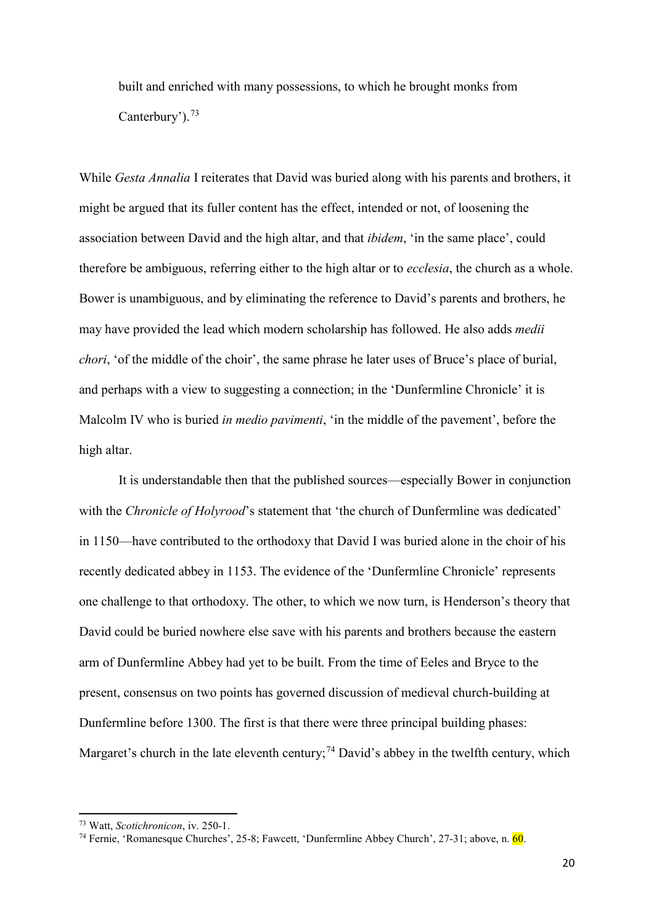built and enriched with many possessions, to which he brought monks from Canterbury').<sup>[73](#page-20-0)</sup>

While *Gesta Annalia* I reiterates that David was buried along with his parents and brothers, it might be argued that its fuller content has the effect, intended or not, of loosening the association between David and the high altar, and that *ibidem*, 'in the same place', could therefore be ambiguous, referring either to the high altar or to *ecclesia*, the church as a whole. Bower is unambiguous, and by eliminating the reference to David's parents and brothers, he may have provided the lead which modern scholarship has followed. He also adds *medii chori*, 'of the middle of the choir', the same phrase he later uses of Bruce's place of burial, and perhaps with a view to suggesting a connection; in the 'Dunfermline Chronicle' it is Malcolm IV who is buried *in medio pavimenti*, 'in the middle of the pavement', before the high altar.

It is understandable then that the published sources—especially Bower in conjunction with the *Chronicle of Holyrood*'s statement that 'the church of Dunfermline was dedicated' in 1150—have contributed to the orthodoxy that David I was buried alone in the choir of his recently dedicated abbey in 1153. The evidence of the 'Dunfermline Chronicle' represents one challenge to that orthodoxy. The other, to which we now turn, is Henderson's theory that David could be buried nowhere else save with his parents and brothers because the eastern arm of Dunfermline Abbey had yet to be built. From the time of Eeles and Bryce to the present, consensus on two points has governed discussion of medieval church-building at Dunfermline before 1300. The first is that there were three principal building phases: Margaret's church in the late eleventh century;<sup>[74](#page-20-1)</sup> David's abbey in the twelfth century, which

 $\overline{a}$ 

<span id="page-20-0"></span><sup>73</sup> Watt, *Scotichronicon*, iv. 250-1.

<span id="page-20-1"></span><sup>74</sup> Fernie, 'Romanesque Churches', 25-8; Fawcett, 'Dunfermline Abbey Church', 27-31; above, n. 60.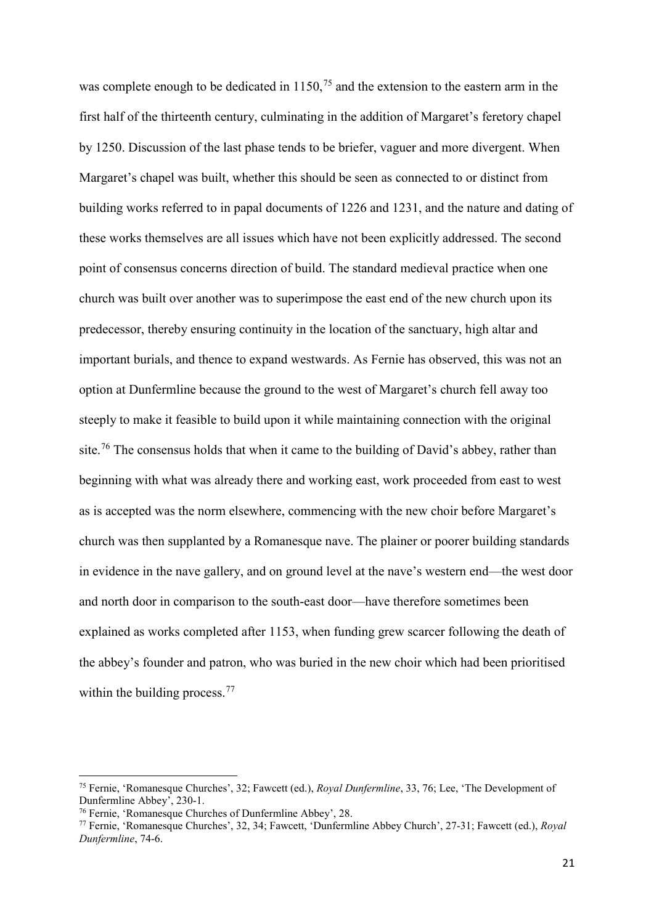was complete enough to be dedicated in  $1150<sup>75</sup>$  $1150<sup>75</sup>$  $1150<sup>75</sup>$  and the extension to the eastern arm in the first half of the thirteenth century, culminating in the addition of Margaret's feretory chapel by 1250. Discussion of the last phase tends to be briefer, vaguer and more divergent. When Margaret's chapel was built, whether this should be seen as connected to or distinct from building works referred to in papal documents of 1226 and 1231, and the nature and dating of these works themselves are all issues which have not been explicitly addressed. The second point of consensus concerns direction of build. The standard medieval practice when one church was built over another was to superimpose the east end of the new church upon its predecessor, thereby ensuring continuity in the location of the sanctuary, high altar and important burials, and thence to expand westwards. As Fernie has observed, this was not an option at Dunfermline because the ground to the west of Margaret's church fell away too steeply to make it feasible to build upon it while maintaining connection with the original site.<sup>[76](#page-21-1)</sup> The consensus holds that when it came to the building of David's abbey, rather than beginning with what was already there and working east, work proceeded from east to west as is accepted was the norm elsewhere, commencing with the new choir before Margaret's church was then supplanted by a Romanesque nave. The plainer or poorer building standards in evidence in the nave gallery, and on ground level at the nave's western end—the west door and north door in comparison to the south-east door—have therefore sometimes been explained as works completed after 1153, when funding grew scarcer following the death of the abbey's founder and patron, who was buried in the new choir which had been prioritised within the building process.<sup>[77](#page-21-2)</sup>

<span id="page-21-0"></span><sup>75</sup> Fernie, 'Romanesque Churches', 32; Fawcett (ed.), *Royal Dunfermline*, 33, 76; Lee, 'The Development of Dunfermline Abbey', 230-1. 76 Fernie, 'Romanesque Churches of Dunfermline Abbey', 28.

<span id="page-21-2"></span><span id="page-21-1"></span><sup>77</sup> Fernie, 'Romanesque Churches', 32, 34; Fawcett, 'Dunfermline Abbey Church', 27-31; Fawcett (ed.), *Royal Dunfermline*, 74-6.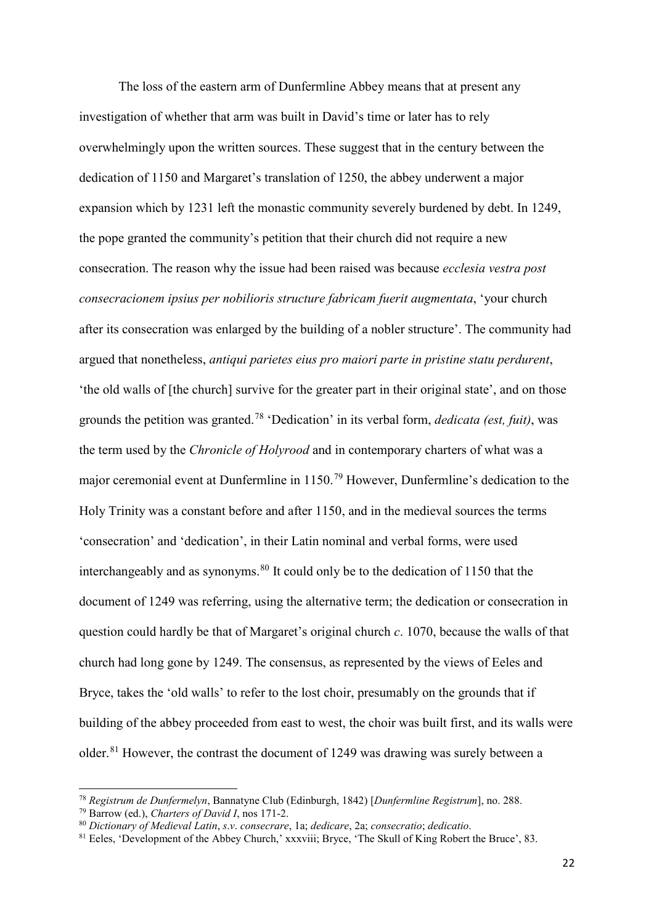The loss of the eastern arm of Dunfermline Abbey means that at present any investigation of whether that arm was built in David's time or later has to rely overwhelmingly upon the written sources. These suggest that in the century between the dedication of 1150 and Margaret's translation of 1250, the abbey underwent a major expansion which by 1231 left the monastic community severely burdened by debt. In 1249, the pope granted the community's petition that their church did not require a new consecration. The reason why the issue had been raised was because *ecclesia vestra post consecracionem ipsius per nobilioris structure fabricam fuerit augmentata*, 'your church after its consecration was enlarged by the building of a nobler structure'. The community had argued that nonetheless, *antiqui parietes eius pro maiori parte in pristine statu perdurent*, 'the old walls of [the church] survive for the greater part in their original state', and on those grounds the petition was granted.[78](#page-22-0) 'Dedication' in its verbal form, *dedicata (est, fuit)*, was the term used by the *Chronicle of Holyrood* and in contemporary charters of what was a major ceremonial event at Dunfermline in 1150.[79](#page-22-1) However, Dunfermline's dedication to the Holy Trinity was a constant before and after 1150, and in the medieval sources the terms 'consecration' and 'dedication', in their Latin nominal and verbal forms, were used interchangeably and as synonyms.<sup>[80](#page-22-2)</sup> It could only be to the dedication of 1150 that the document of 1249 was referring, using the alternative term; the dedication or consecration in question could hardly be that of Margaret's original church *c*. 1070, because the walls of that church had long gone by 1249. The consensus, as represented by the views of Eeles and Bryce, takes the 'old walls' to refer to the lost choir, presumably on the grounds that if building of the abbey proceeded from east to west, the choir was built first, and its walls were older. [81](#page-22-3) However, the contrast the document of 1249 was drawing was surely between a

 $\overline{a}$ 

<span id="page-22-0"></span><sup>78</sup> *Registrum de Dunfermelyn*, Bannatyne Club (Edinburgh, 1842) [*Dunfermline Registrum*], no. 288.

<span id="page-22-1"></span><sup>79</sup> Barrow (ed.), *Charters of David I*, nos 171-2.

<span id="page-22-2"></span><sup>80</sup> *Dictionary of Medieval Latin*, *s*.*v*. *consecrare*, 1a; *dedicare*, 2a; *consecratio*; *dedicatio*.

<span id="page-22-3"></span><sup>&</sup>lt;sup>81</sup> Eeles, 'Development of the Abbey Church,' xxxviii; Bryce, 'The Skull of King Robert the Bruce', 83.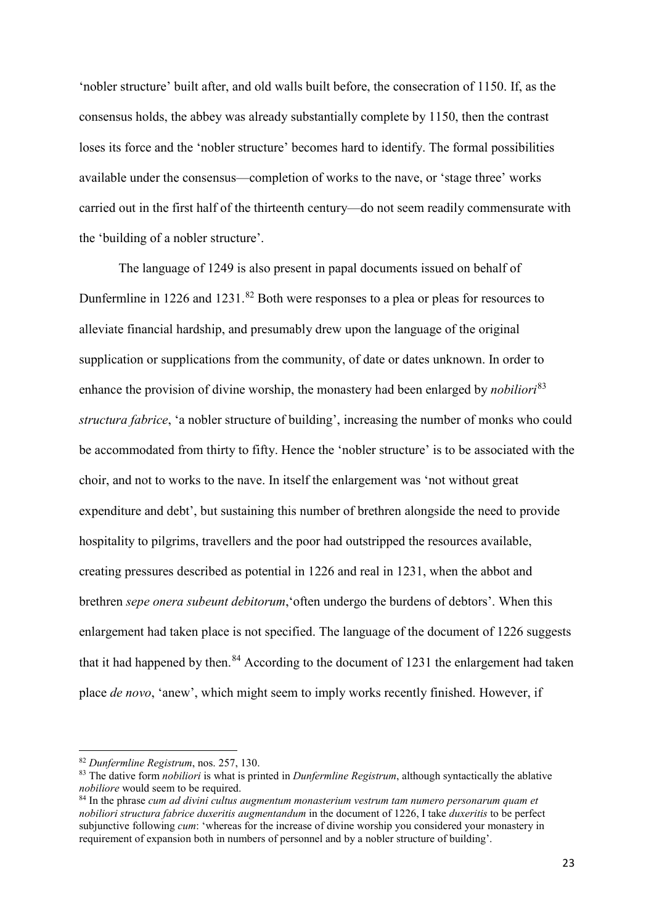'nobler structure' built after, and old walls built before, the consecration of 1150. If, as the consensus holds, the abbey was already substantially complete by 1150, then the contrast loses its force and the 'nobler structure' becomes hard to identify. The formal possibilities available under the consensus—completion of works to the nave, or 'stage three' works carried out in the first half of the thirteenth century—do not seem readily commensurate with the 'building of a nobler structure'.

The language of 1249 is also present in papal documents issued on behalf of Dunfermline in  $1226$  and  $1231$ .<sup>[82](#page-23-0)</sup> Both were responses to a plea or pleas for resources to alleviate financial hardship, and presumably drew upon the language of the original supplication or supplications from the community, of date or dates unknown. In order to enhance the provision of divine worship, the monastery had been enlarged by *nobiliori*<sup>[83](#page-23-1)</sup> *structura fabrice*, 'a nobler structure of building', increasing the number of monks who could be accommodated from thirty to fifty. Hence the 'nobler structure' is to be associated with the choir, and not to works to the nave. In itself the enlargement was 'not without great expenditure and debt', but sustaining this number of brethren alongside the need to provide hospitality to pilgrims, travellers and the poor had outstripped the resources available, creating pressures described as potential in 1226 and real in 1231, when the abbot and brethren *sepe onera subeunt debitorum*,'often undergo the burdens of debtors'. When this enlargement had taken place is not specified. The language of the document of 1226 suggests that it had happened by then.<sup>[84](#page-23-2)</sup> According to the document of 1231 the enlargement had taken place *de novo*, 'anew', which might seem to imply works recently finished. However, if

 $\overline{a}$ 

<span id="page-23-0"></span><sup>82</sup> *Dunfermline Registrum*, nos. 257, 130.

<span id="page-23-1"></span><sup>&</sup>lt;sup>83</sup> The dative form *nobiliori* is what is printed in *Dunfermline Registrum*, although syntactically the ablative *nobiliore* would seem to be required.

<span id="page-23-2"></span>*nobiliore* would seem to be required. 84 In the phrase *cum ad divini cultus augmentum monasterium vestrum tam numero personarum quam et nobiliori structura fabrice duxeritis augmentandum* in the document of 1226, I take *duxeritis* to be perfect subjunctive following *cum*: 'whereas for the increase of divine worship you considered your monastery in requirement of expansion both in numbers of personnel and by a nobler structure of building'.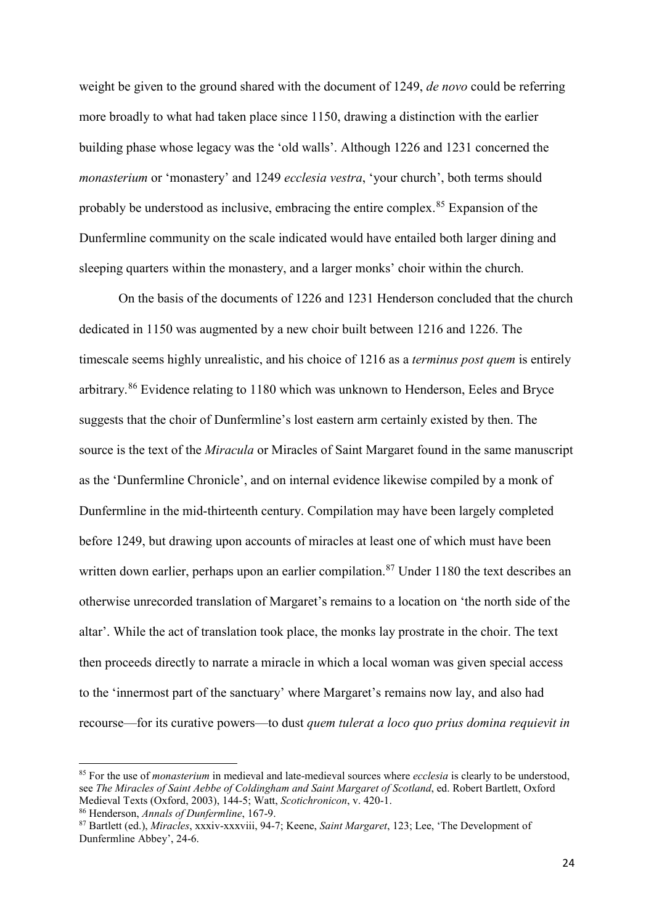weight be given to the ground shared with the document of 1249, *de novo* could be referring more broadly to what had taken place since 1150, drawing a distinction with the earlier building phase whose legacy was the 'old walls'. Although 1226 and 1231 concerned the *monasterium* or 'monastery' and 1249 *ecclesia vestra*, 'your church', both terms should probably be understood as inclusive, embracing the entire complex.<sup>[85](#page-24-0)</sup> Expansion of the Dunfermline community on the scale indicated would have entailed both larger dining and sleeping quarters within the monastery, and a larger monks' choir within the church.

On the basis of the documents of 1226 and 1231 Henderson concluded that the church dedicated in 1150 was augmented by a new choir built between 1216 and 1226. The timescale seems highly unrealistic, and his choice of 1216 as a *terminus post quem* is entirely arbitrary.<sup>[86](#page-24-1)</sup> Evidence relating to 1180 which was unknown to Henderson, Eeles and Bryce suggests that the choir of Dunfermline's lost eastern arm certainly existed by then. The source is the text of the *Miracula* or Miracles of Saint Margaret found in the same manuscript as the 'Dunfermline Chronicle', and on internal evidence likewise compiled by a monk of Dunfermline in the mid-thirteenth century. Compilation may have been largely completed before 1249, but drawing upon accounts of miracles at least one of which must have been written down earlier, perhaps upon an earlier compilation.<sup>[87](#page-24-2)</sup> Under 1180 the text describes an otherwise unrecorded translation of Margaret's remains to a location on 'the north side of the altar'. While the act of translation took place, the monks lay prostrate in the choir. The text then proceeds directly to narrate a miracle in which a local woman was given special access to the 'innermost part of the sanctuary' where Margaret's remains now lay, and also had recourse—for its curative powers—to dust *quem tulerat a loco quo prius domina requievit in* 

<span id="page-24-0"></span><sup>85</sup> For the use of *monasterium* in medieval and late-medieval sources where *ecclesia* is clearly to be understood, see *The Miracles of Saint Aebbe of Coldingham and Saint Margaret of Scotland*, ed. Robert Bartlett, Oxford Medieval Texts (Oxford, 2003), 144-5; Watt, *Scotichronicon*, v. 420-1.

<span id="page-24-2"></span><span id="page-24-1"></span><sup>86</sup> Henderson, *Annals of Dunfermline*, 167-9. 87 Bartlett (ed.), *Miracles*, xxxiv-xxxviii, 94-7; Keene, *Saint Margaret*, 123; Lee, 'The Development of Dunfermline Abbey', 24-6.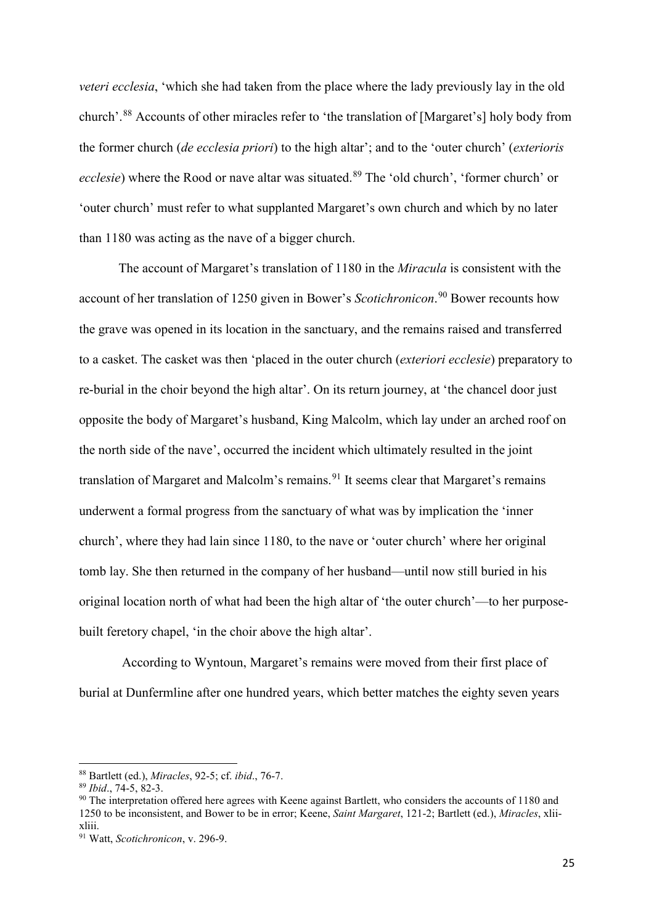*veteri ecclesia*, 'which she had taken from the place where the lady previously lay in the old church'.[88](#page-25-0) Accounts of other miracles refer to 'the translation of [Margaret's] holy body from the former church (*de ecclesia priori*) to the high altar'; and to the 'outer church' (*exterioris ecclesie*) where the Rood or nave altar was situated.<sup>[89](#page-25-1)</sup> The 'old church', 'former church' or 'outer church' must refer to what supplanted Margaret's own church and which by no later than 1180 was acting as the nave of a bigger church.

The account of Margaret's translation of 1180 in the *Miracula* is consistent with the account of her translation of 1250 given in Bower's *Scotichronicon*. [90](#page-25-2) Bower recounts how the grave was opened in its location in the sanctuary, and the remains raised and transferred to a casket. The casket was then 'placed in the outer church (*exteriori ecclesie*) preparatory to re-burial in the choir beyond the high altar'. On its return journey, at 'the chancel door just opposite the body of Margaret's husband, King Malcolm, which lay under an arched roof on the north side of the nave', occurred the incident which ultimately resulted in the joint translation of Margaret and Malcolm's remains.<sup>[91](#page-25-3)</sup> It seems clear that Margaret's remains underwent a formal progress from the sanctuary of what was by implication the 'inner church', where they had lain since 1180, to the nave or 'outer church' where her original tomb lay. She then returned in the company of her husband—until now still buried in his original location north of what had been the high altar of 'the outer church'—to her purposebuilt feretory chapel, 'in the choir above the high altar'.

According to Wyntoun, Margaret's remains were moved from their first place of burial at Dunfermline after one hundred years, which better matches the eighty seven years

<span id="page-25-0"></span><sup>88</sup> Bartlett (ed.), *Miracles*, 92-5; cf. *ibid*., 76-7.

<span id="page-25-1"></span><sup>89</sup> *Ibid*., 74-5, 82-3.

<span id="page-25-2"></span><sup>90</sup> The interpretation offered here agrees with Keene against Bartlett, who considers the accounts of 1180 and 1250 to be inconsistent, and Bower to be in error; Keene, *Saint Margaret*, 121-2; Bartlett (ed.), *Miracles*, xliixliii.

<span id="page-25-3"></span><sup>91</sup> Watt, *Scotichronicon*, v. 296-9.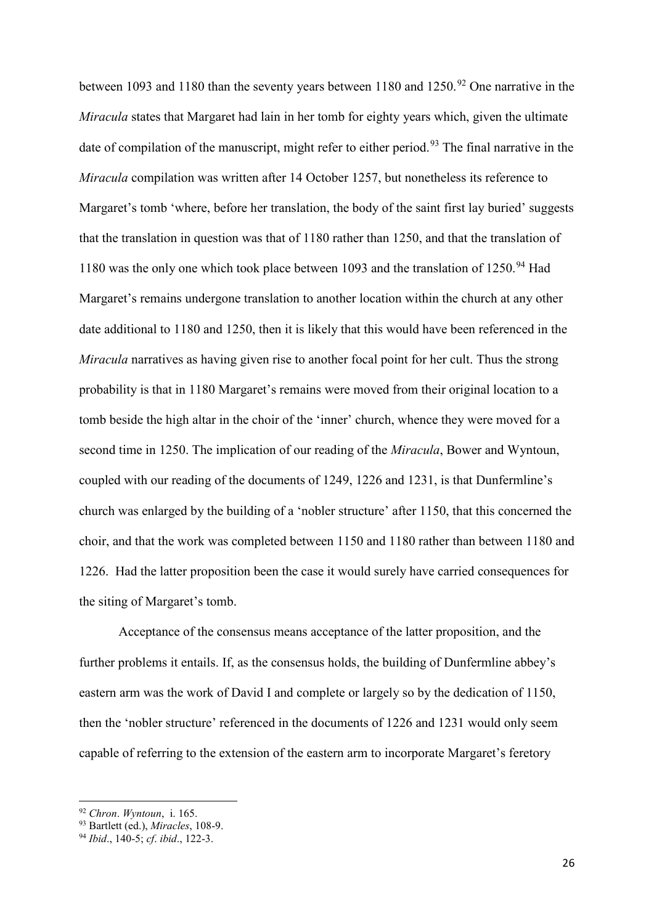between 1093 and 1180 than the seventy years between 1180 and 1250.<sup>[92](#page-26-0)</sup> One narrative in the *Miracula* states that Margaret had lain in her tomb for eighty years which, given the ultimate date of compilation of the manuscript, might refer to either period.<sup>[93](#page-26-1)</sup> The final narrative in the *Miracula* compilation was written after 14 October 1257, but nonetheless its reference to Margaret's tomb 'where, before her translation, the body of the saint first lay buried' suggests that the translation in question was that of 1180 rather than 1250, and that the translation of 1180 was the only one which took place between 1093 and the translation of  $1250.^{94}$  $1250.^{94}$  $1250.^{94}$  Had Margaret's remains undergone translation to another location within the church at any other date additional to 1180 and 1250, then it is likely that this would have been referenced in the *Miracula* narratives as having given rise to another focal point for her cult. Thus the strong probability is that in 1180 Margaret's remains were moved from their original location to a tomb beside the high altar in the choir of the 'inner' church, whence they were moved for a second time in 1250. The implication of our reading of the *Miracula*, Bower and Wyntoun, coupled with our reading of the documents of 1249, 1226 and 1231, is that Dunfermline's church was enlarged by the building of a 'nobler structure' after 1150, that this concerned the choir, and that the work was completed between 1150 and 1180 rather than between 1180 and 1226. Had the latter proposition been the case it would surely have carried consequences for the siting of Margaret's tomb.

Acceptance of the consensus means acceptance of the latter proposition, and the further problems it entails. If, as the consensus holds, the building of Dunfermline abbey's eastern arm was the work of David I and complete or largely so by the dedication of 1150, then the 'nobler structure' referenced in the documents of 1226 and 1231 would only seem capable of referring to the extension of the eastern arm to incorporate Margaret's feretory

<sup>92</sup> *Chron*. *Wyntoun*, i. 165.

<span id="page-26-1"></span><span id="page-26-0"></span><sup>93</sup> Bartlett (ed.), *Miracles*, 108-9.

<span id="page-26-2"></span><sup>94</sup> *Ibid*., 140-5; *cf*. *ibid*., 122-3.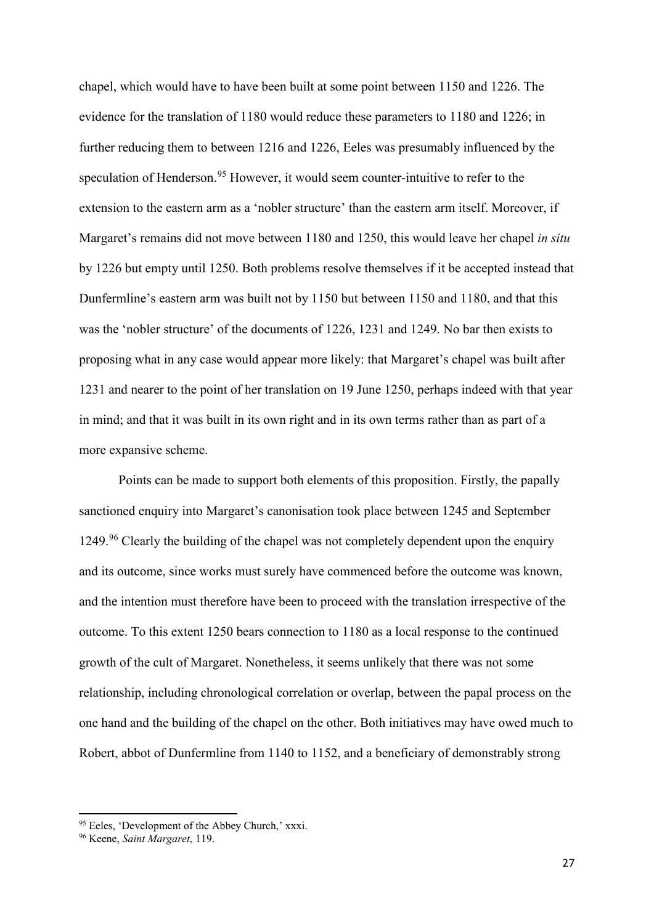chapel, which would have to have been built at some point between 1150 and 1226. The evidence for the translation of 1180 would reduce these parameters to 1180 and 1226; in further reducing them to between 1216 and 1226, Eeles was presumably influenced by the speculation of Henderson.<sup>[95](#page-27-0)</sup> However, it would seem counter-intuitive to refer to the extension to the eastern arm as a 'nobler structure' than the eastern arm itself. Moreover, if Margaret's remains did not move between 1180 and 1250, this would leave her chapel *in situ* by 1226 but empty until 1250. Both problems resolve themselves if it be accepted instead that Dunfermline's eastern arm was built not by 1150 but between 1150 and 1180, and that this was the 'nobler structure' of the documents of 1226, 1231 and 1249. No bar then exists to proposing what in any case would appear more likely: that Margaret's chapel was built after 1231 and nearer to the point of her translation on 19 June 1250, perhaps indeed with that year in mind; and that it was built in its own right and in its own terms rather than as part of a more expansive scheme.

Points can be made to support both elements of this proposition. Firstly, the papally sanctioned enquiry into Margaret's canonisation took place between 1245 and September  $1249.^{96}$  $1249.^{96}$  $1249.^{96}$  Clearly the building of the chapel was not completely dependent upon the enquiry and its outcome, since works must surely have commenced before the outcome was known, and the intention must therefore have been to proceed with the translation irrespective of the outcome. To this extent 1250 bears connection to 1180 as a local response to the continued growth of the cult of Margaret. Nonetheless, it seems unlikely that there was not some relationship, including chronological correlation or overlap, between the papal process on the one hand and the building of the chapel on the other. Both initiatives may have owed much to Robert, abbot of Dunfermline from 1140 to 1152, and a beneficiary of demonstrably strong

 $\overline{a}$ 

<span id="page-27-0"></span><sup>95</sup> Eeles, 'Development of the Abbey Church,' xxxi. 96 Keene, *Saint Margaret*, 119.

<span id="page-27-1"></span>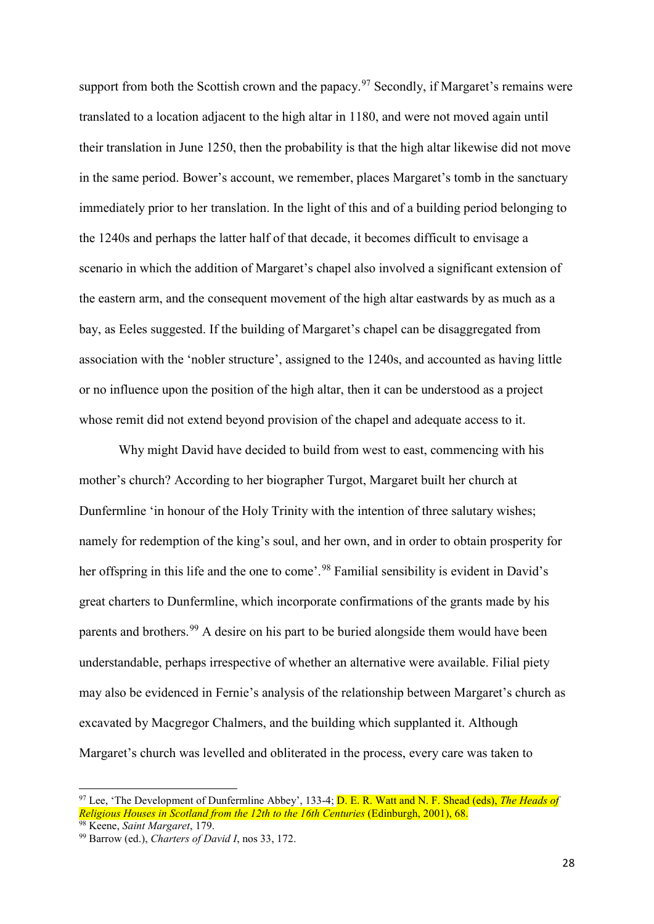support from both the Scottish crown and the papacy.<sup>[97](#page-28-0)</sup> Secondly, if Margaret's remains were translated to a location adjacent to the high altar in 1180, and were not moved again until their translation in June 1250, then the probability is that the high altar likewise did not move in the same period. Bower's account, we remember, places Margaret's tomb in the sanctuary immediately prior to her translation. In the light of this and of a building period belonging to the 1240s and perhaps the latter half of that decade, it becomes difficult to envisage a scenario in which the addition of Margaret's chapel also involved a significant extension of the eastern arm, and the consequent movement of the high altar eastwards by as much as a bay, as Eeles suggested. If the building of Margaret's chapel can be disaggregated from association with the 'nobler structure', assigned to the 1240s, and accounted as having little or no influence upon the position of the high altar, then it can be understood as a project whose remit did not extend beyond provision of the chapel and adequate access to it.

Why might David have decided to build from west to east, commencing with his mother's church? According to her biographer Turgot, Margaret built her church at Dunfermline 'in honour of the Holy Trinity with the intention of three salutary wishes; namely for redemption of the king's soul, and her own, and in order to obtain prosperity for her offspring in this life and the one to come'.<sup>[98](#page-28-1)</sup> Familial sensibility is evident in David's great charters to Dunfermline, which incorporate confirmations of the grants made by his parents and brothers.<sup>[99](#page-28-2)</sup> A desire on his part to be buried alongside them would have been understandable, perhaps irrespective of whether an alternative were available. Filial piety may also be evidenced in Fernie's analysis of the relationship between Margaret's church as excavated by Macgregor Chalmers, and the building which supplanted it. Although Margaret's church was levelled and obliterated in the process, every care was taken to

<span id="page-28-0"></span><sup>&</sup>lt;sup>97</sup> Lee, 'The Development of Dunfermline Abbey', 133-4; <mark>D. E. R. Watt and N. F. Shead (eds), *The Heads of*</mark> *Religious Houses in Scotland from the 12th to the 16th Centuries (Edinburgh, 2001), 68.* <sup>98</sup> Keene, *Saint Margaret*, 179.

<span id="page-28-2"></span><span id="page-28-1"></span><sup>99</sup> Barrow (ed.), *Charters of David I*, nos 33, 172.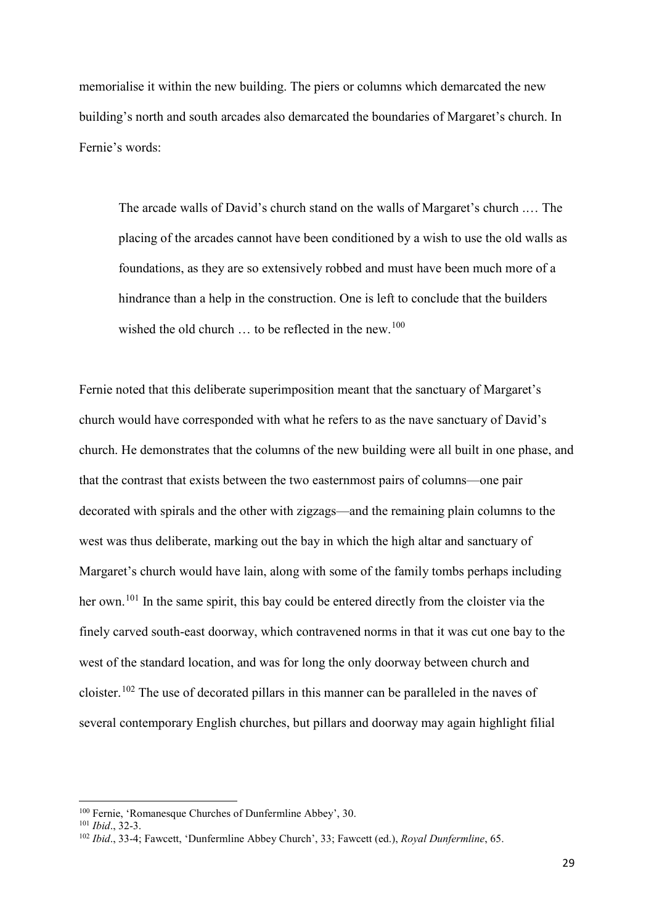memorialise it within the new building. The piers or columns which demarcated the new building's north and south arcades also demarcated the boundaries of Margaret's church. In Fernie's words:

The arcade walls of David's church stand on the walls of Margaret's church .… The placing of the arcades cannot have been conditioned by a wish to use the old walls as foundations, as they are so extensively robbed and must have been much more of a hindrance than a help in the construction. One is left to conclude that the builders wished the old church  $\ldots$  to be reflected in the new.<sup>100</sup>

Fernie noted that this deliberate superimposition meant that the sanctuary of Margaret's church would have corresponded with what he refers to as the nave sanctuary of David's church. He demonstrates that the columns of the new building were all built in one phase, and that the contrast that exists between the two easternmost pairs of columns—one pair decorated with spirals and the other with zigzags—and the remaining plain columns to the west was thus deliberate, marking out the bay in which the high altar and sanctuary of Margaret's church would have lain, along with some of the family tombs perhaps including her own.<sup>[101](#page-29-1)</sup> In the same spirit, this bay could be entered directly from the cloister via the finely carved south-east doorway, which contravened norms in that it was cut one bay to the west of the standard location, and was for long the only doorway between church and cloister.[102](#page-29-2) The use of decorated pillars in this manner can be paralleled in the naves of several contemporary English churches, but pillars and doorway may again highlight filial

<span id="page-29-0"></span><sup>100</sup> Fernie, 'Romanesque Churches of Dunfermline Abbey', 30.

<span id="page-29-1"></span><sup>101</sup> *Ibid*., 32-3.

<span id="page-29-2"></span><sup>102</sup> *Ibid*., 33-4; Fawcett, 'Dunfermline Abbey Church', 33; Fawcett (ed.), *Royal Dunfermline*, 65.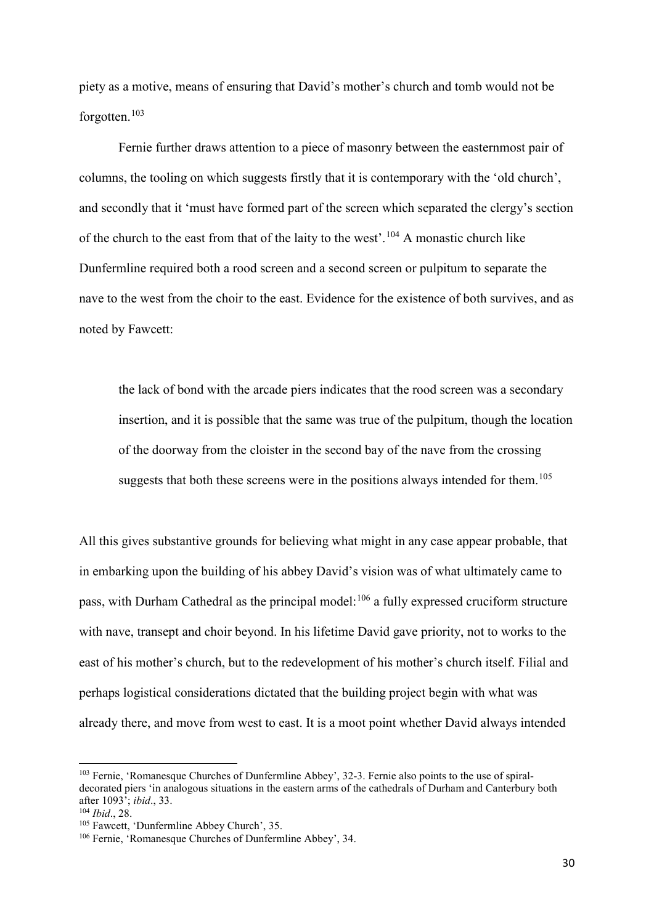piety as a motive, means of ensuring that David's mother's church and tomb would not be forgotten.<sup>[103](#page-30-0)</sup>

Fernie further draws attention to a piece of masonry between the easternmost pair of columns, the tooling on which suggests firstly that it is contemporary with the 'old church', and secondly that it 'must have formed part of the screen which separated the clergy's section of the church to the east from that of the laity to the west'.<sup>[104](#page-30-1)</sup> A monastic church like Dunfermline required both a rood screen and a second screen or pulpitum to separate the nave to the west from the choir to the east. Evidence for the existence of both survives, and as noted by Fawcett:

the lack of bond with the arcade piers indicates that the rood screen was a secondary insertion, and it is possible that the same was true of the pulpitum, though the location of the doorway from the cloister in the second bay of the nave from the crossing suggests that both these screens were in the positions always intended for them.<sup>[105](#page-30-2)</sup>

All this gives substantive grounds for believing what might in any case appear probable, that in embarking upon the building of his abbey David's vision was of what ultimately came to pass, with Durham Cathedral as the principal model:<sup>[106](#page-30-3)</sup> a fully expressed cruciform structure with nave, transept and choir beyond. In his lifetime David gave priority, not to works to the east of his mother's church, but to the redevelopment of his mother's church itself. Filial and perhaps logistical considerations dictated that the building project begin with what was already there, and move from west to east. It is a moot point whether David always intended

<span id="page-30-0"></span><sup>103</sup> Fernie, 'Romanesque Churches of Dunfermline Abbey', 32-3. Fernie also points to the use of spiraldecorated piers 'in analogous situations in the eastern arms of the cathedrals of Durham and Canterbury both after 1093'; *ibid*., 33.

<span id="page-30-1"></span><sup>104</sup> *Ibid*., 28.

<span id="page-30-2"></span><sup>105</sup> Fawcett, 'Dunfermline Abbey Church', 35.

<span id="page-30-3"></span><sup>106</sup> Fernie, 'Romanesque Churches of Dunfermline Abbey', 34.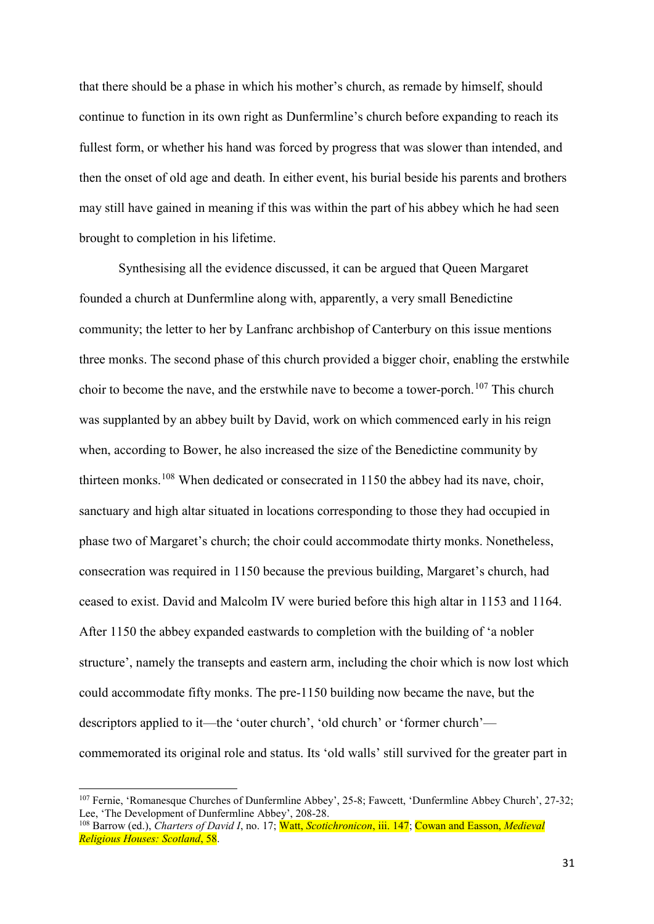that there should be a phase in which his mother's church, as remade by himself, should continue to function in its own right as Dunfermline's church before expanding to reach its fullest form, or whether his hand was forced by progress that was slower than intended, and then the onset of old age and death. In either event, his burial beside his parents and brothers may still have gained in meaning if this was within the part of his abbey which he had seen brought to completion in his lifetime.

Synthesising all the evidence discussed, it can be argued that Queen Margaret founded a church at Dunfermline along with, apparently, a very small Benedictine community; the letter to her by Lanfranc archbishop of Canterbury on this issue mentions three monks. The second phase of this church provided a bigger choir, enabling the erstwhile choir to become the nave, and the erstwhile nave to become a tower-porch.<sup>[107](#page-31-0)</sup> This church was supplanted by an abbey built by David, work on which commenced early in his reign when, according to Bower, he also increased the size of the Benedictine community by thirteen monks.<sup>[108](#page-31-1)</sup> When dedicated or consecrated in 1150 the abbey had its nave, choir, sanctuary and high altar situated in locations corresponding to those they had occupied in phase two of Margaret's church; the choir could accommodate thirty monks. Nonetheless, consecration was required in 1150 because the previous building, Margaret's church, had ceased to exist. David and Malcolm IV were buried before this high altar in 1153 and 1164. After 1150 the abbey expanded eastwards to completion with the building of 'a nobler structure', namely the transepts and eastern arm, including the choir which is now lost which could accommodate fifty monks. The pre-1150 building now became the nave, but the descriptors applied to it—the 'outer church', 'old church' or 'former church' commemorated its original role and status. Its 'old walls' still survived for the greater part in

<span id="page-31-0"></span><sup>107</sup> Fernie, 'Romanesque Churches of Dunfermline Abbey', 25-8; Fawcett, 'Dunfermline Abbey Church', 27-32; Lee, 'The Development of Dunfermline Abbey', 208-28.

<span id="page-31-1"></span><sup>108</sup> Barrow (ed.), *Charters of David I*, no. 17; Watt, *Scotichronicon*, iii. 147; Cowan and Easson, *Medieval Religious Houses: Scotland*, 58.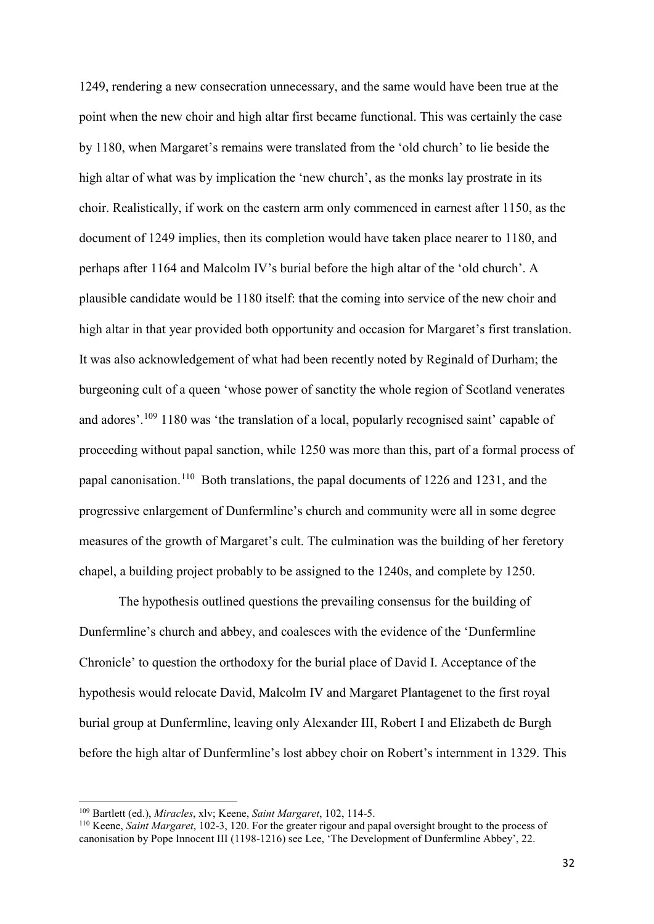1249, rendering a new consecration unnecessary, and the same would have been true at the point when the new choir and high altar first became functional. This was certainly the case by 1180, when Margaret's remains were translated from the 'old church' to lie beside the high altar of what was by implication the 'new church', as the monks lay prostrate in its choir. Realistically, if work on the eastern arm only commenced in earnest after 1150, as the document of 1249 implies, then its completion would have taken place nearer to 1180, and perhaps after 1164 and Malcolm IV's burial before the high altar of the 'old church'. A plausible candidate would be 1180 itself: that the coming into service of the new choir and high altar in that year provided both opportunity and occasion for Margaret's first translation. It was also acknowledgement of what had been recently noted by Reginald of Durham; the burgeoning cult of a queen 'whose power of sanctity the whole region of Scotland venerates and adores'.<sup>[109](#page-32-0)</sup> 1180 was 'the translation of a local, popularly recognised saint' capable of proceeding without papal sanction, while 1250 was more than this, part of a formal process of papal canonisation.[110](#page-32-1) Both translations, the papal documents of 1226 and 1231, and the progressive enlargement of Dunfermline's church and community were all in some degree measures of the growth of Margaret's cult. The culmination was the building of her feretory chapel, a building project probably to be assigned to the 1240s, and complete by 1250.

The hypothesis outlined questions the prevailing consensus for the building of Dunfermline's church and abbey, and coalesces with the evidence of the 'Dunfermline Chronicle' to question the orthodoxy for the burial place of David I. Acceptance of the hypothesis would relocate David, Malcolm IV and Margaret Plantagenet to the first royal burial group at Dunfermline, leaving only Alexander III, Robert I and Elizabeth de Burgh before the high altar of Dunfermline's lost abbey choir on Robert's internment in 1329. This

<sup>109</sup> Bartlett (ed.), *Miracles*, xlv; Keene, *Saint Margaret*, 102, 114-5.

<span id="page-32-1"></span><span id="page-32-0"></span><sup>110</sup> Keene, *Saint Margaret*, 102-3, 120. For the greater rigour and papal oversight brought to the process of canonisation by Pope Innocent III (1198-1216) see Lee, 'The Development of Dunfermline Abbey', 22.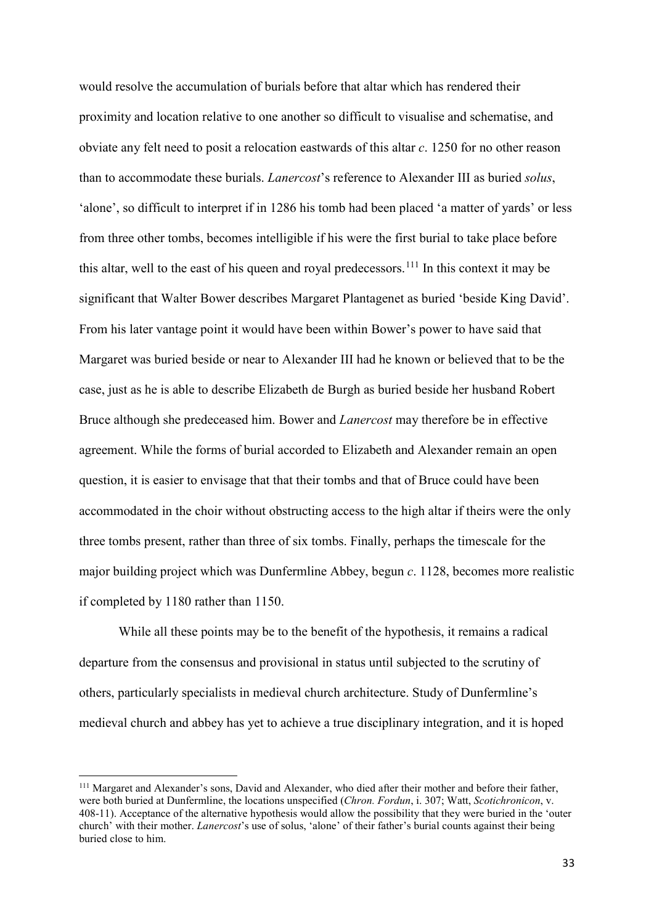would resolve the accumulation of burials before that altar which has rendered their proximity and location relative to one another so difficult to visualise and schematise, and obviate any felt need to posit a relocation eastwards of this altar *c*. 1250 for no other reason than to accommodate these burials. *Lanercost*'s reference to Alexander III as buried *solus*, 'alone', so difficult to interpret if in 1286 his tomb had been placed 'a matter of yards' or less from three other tombs, becomes intelligible if his were the first burial to take place before this altar, well to the east of his queen and royal predecessors.<sup>[111](#page-33-0)</sup> In this context it may be significant that Walter Bower describes Margaret Plantagenet as buried 'beside King David'. From his later vantage point it would have been within Bower's power to have said that Margaret was buried beside or near to Alexander III had he known or believed that to be the case, just as he is able to describe Elizabeth de Burgh as buried beside her husband Robert Bruce although she predeceased him. Bower and *Lanercost* may therefore be in effective agreement. While the forms of burial accorded to Elizabeth and Alexander remain an open question, it is easier to envisage that that their tombs and that of Bruce could have been accommodated in the choir without obstructing access to the high altar if theirs were the only three tombs present, rather than three of six tombs. Finally, perhaps the timescale for the major building project which was Dunfermline Abbey, begun *c*. 1128, becomes more realistic if completed by 1180 rather than 1150.

While all these points may be to the benefit of the hypothesis, it remains a radical departure from the consensus and provisional in status until subjected to the scrutiny of others, particularly specialists in medieval church architecture. Study of Dunfermline's medieval church and abbey has yet to achieve a true disciplinary integration, and it is hoped

<span id="page-33-0"></span><sup>111</sup> Margaret and Alexander's sons, David and Alexander, who died after their mother and before their father, were both buried at Dunfermline, the locations unspecified (*Chron. Fordun*, i. 307; Watt, *Scotichronicon*, v. 408-11). Acceptance of the alternative hypothesis would allow the possibility that they were buried in the 'outer church' with their mother. *Lanercost*'s use of solus, 'alone' of their father's burial counts against their being buried close to him.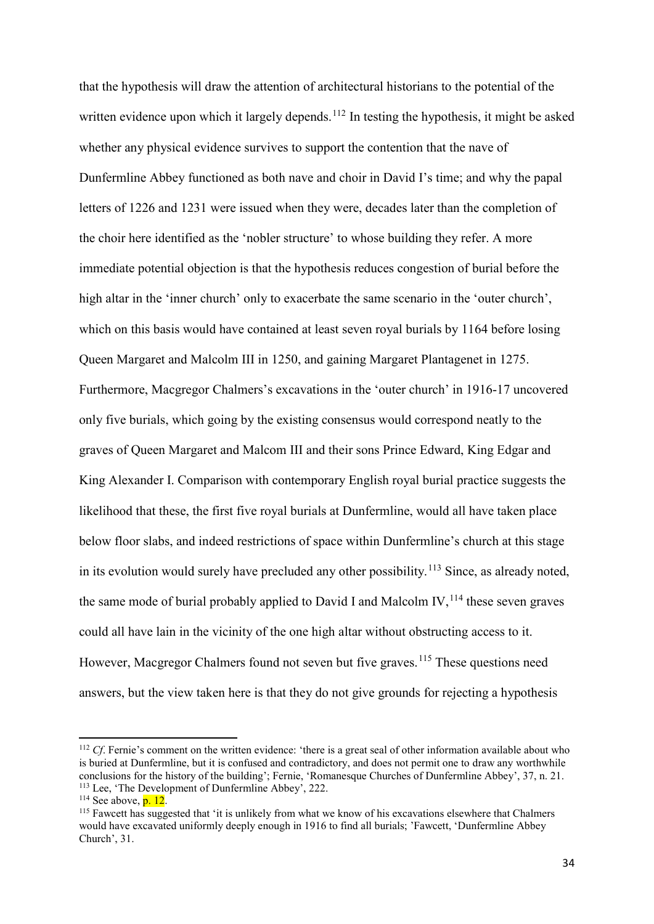that the hypothesis will draw the attention of architectural historians to the potential of the written evidence upon which it largely depends.<sup>[112](#page-34-0)</sup> In testing the hypothesis, it might be asked whether any physical evidence survives to support the contention that the nave of Dunfermline Abbey functioned as both nave and choir in David I's time; and why the papal letters of 1226 and 1231 were issued when they were, decades later than the completion of the choir here identified as the 'nobler structure' to whose building they refer. A more immediate potential objection is that the hypothesis reduces congestion of burial before the high altar in the 'inner church' only to exacerbate the same scenario in the 'outer church', which on this basis would have contained at least seven royal burials by 1164 before losing Queen Margaret and Malcolm III in 1250, and gaining Margaret Plantagenet in 1275. Furthermore, Macgregor Chalmers's excavations in the 'outer church' in 1916-17 uncovered only five burials, which going by the existing consensus would correspond neatly to the graves of Queen Margaret and Malcom III and their sons Prince Edward, King Edgar and King Alexander I. Comparison with contemporary English royal burial practice suggests the likelihood that these, the first five royal burials at Dunfermline, would all have taken place below floor slabs, and indeed restrictions of space within Dunfermline's church at this stage in its evolution would surely have precluded any other possibility.<sup>[113](#page-34-1)</sup> Since, as already noted, the same mode of burial probably applied to David I and Malcolm IV,  $^{114}$  $^{114}$  $^{114}$  these seven graves could all have lain in the vicinity of the one high altar without obstructing access to it. However, Macgregor Chalmers found not seven but five graves.<sup>[115](#page-34-3)</sup> These questions need answers, but the view taken here is that they do not give grounds for rejecting a hypothesis

<span id="page-34-0"></span><sup>&</sup>lt;sup>112</sup> *Cf*. Fernie's comment on the written evidence: 'there is a great seal of other information available about who is buried at Dunfermline, but it is confused and contradictory, and does not permit one to draw any worthwhile conclusions for the history of the building'; Fernie, 'Romanesque Churches of Dunfermline Abbey', 37, n. 21. <sup>113</sup> Lee, 'The Development of Dunfermline Abbey', 222.

<span id="page-34-2"></span><span id="page-34-1"></span> $114$  See above,  $p. 12$ .

<span id="page-34-3"></span><sup>115</sup> Fawcett has suggested that 'it is unlikely from what we know of his excavations elsewhere that Chalmers would have excavated uniformly deeply enough in 1916 to find all burials; 'Fawcett, 'Dunfermline Abbey Church', 31.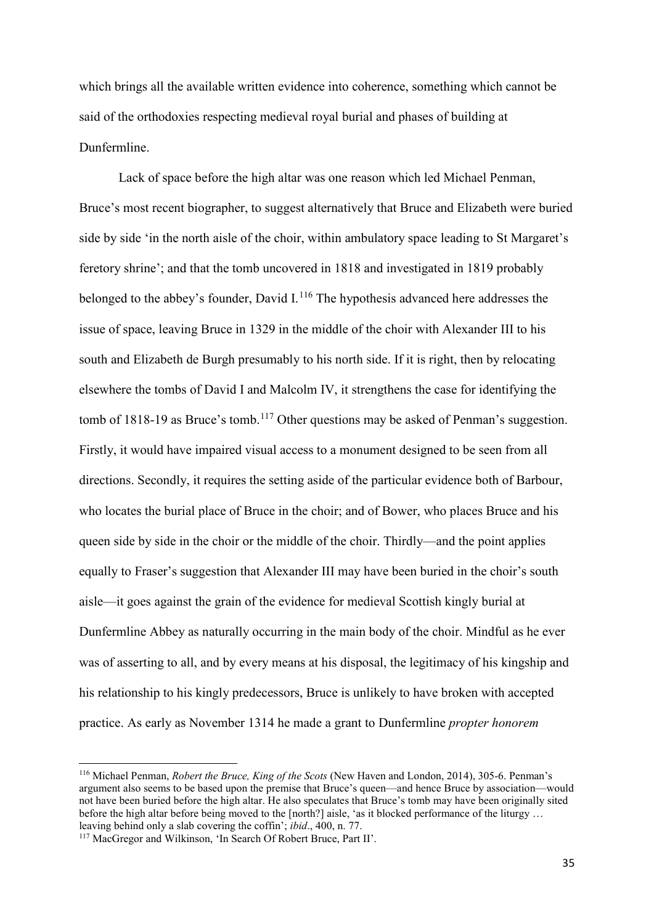which brings all the available written evidence into coherence, something which cannot be said of the orthodoxies respecting medieval royal burial and phases of building at Dunfermline.

Lack of space before the high altar was one reason which led Michael Penman, Bruce's most recent biographer, to suggest alternatively that Bruce and Elizabeth were buried side by side 'in the north aisle of the choir, within ambulatory space leading to St Margaret's feretory shrine'; and that the tomb uncovered in 1818 and investigated in 1819 probably belonged to the abbey's founder, David I. $<sup>116</sup>$  $<sup>116</sup>$  $<sup>116</sup>$  The hypothesis advanced here addresses the</sup> issue of space, leaving Bruce in 1329 in the middle of the choir with Alexander III to his south and Elizabeth de Burgh presumably to his north side. If it is right, then by relocating elsewhere the tombs of David I and Malcolm IV, it strengthens the case for identifying the tomb of 1818-19 as Bruce's tomb.<sup>[117](#page-35-1)</sup> Other questions may be asked of Penman's suggestion. Firstly, it would have impaired visual access to a monument designed to be seen from all directions. Secondly, it requires the setting aside of the particular evidence both of Barbour, who locates the burial place of Bruce in the choir; and of Bower, who places Bruce and his queen side by side in the choir or the middle of the choir. Thirdly—and the point applies equally to Fraser's suggestion that Alexander III may have been buried in the choir's south aisle—it goes against the grain of the evidence for medieval Scottish kingly burial at Dunfermline Abbey as naturally occurring in the main body of the choir. Mindful as he ever was of asserting to all, and by every means at his disposal, the legitimacy of his kingship and his relationship to his kingly predecessors, Bruce is unlikely to have broken with accepted practice. As early as November 1314 he made a grant to Dunfermline *propter honorem* 

<span id="page-35-0"></span><sup>116</sup> Michael Penman, *Robert the Bruce, King of the Scots* (New Haven and London, 2014), 305-6. Penman's argument also seems to be based upon the premise that Bruce's queen—and hence Bruce by association—would not have been buried before the high altar. He also speculates that Bruce's tomb may have been originally sited before the high altar before being moved to the [north?] aisle, 'as it blocked performance of the liturgy ... leaving behind only a slab covering the coffin'; *ibid.*, 400, n. 77.

<span id="page-35-1"></span><sup>&</sup>lt;sup>117</sup> MacGregor and Wilkinson, 'In Search Of Robert Bruce, Part II'.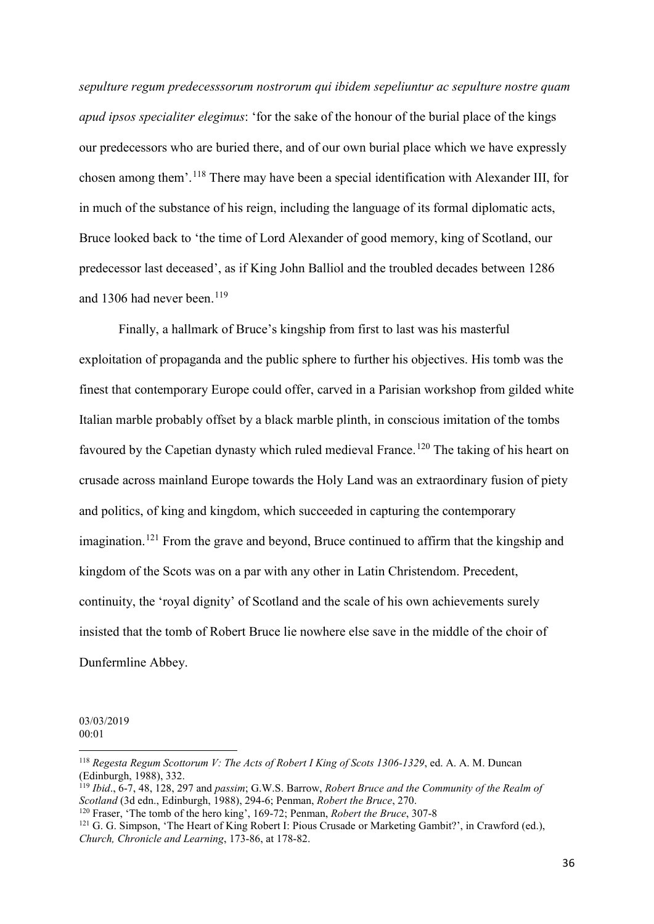*sepulture regum predecesssorum nostrorum qui ibidem sepeliuntur ac sepulture nostre quam apud ipsos specialiter elegimus*: 'for the sake of the honour of the burial place of the kings our predecessors who are buried there, and of our own burial place which we have expressly chosen among them'. [118](#page-36-0) There may have been a special identification with Alexander III, for in much of the substance of his reign, including the language of its formal diplomatic acts, Bruce looked back to 'the time of Lord Alexander of good memory, king of Scotland, our predecessor last deceased', as if King John Balliol and the troubled decades between 1286 and 1306 had never been. [119](#page-36-1)

Finally, a hallmark of Bruce's kingship from first to last was his masterful exploitation of propaganda and the public sphere to further his objectives. His tomb was the finest that contemporary Europe could offer, carved in a Parisian workshop from gilded white Italian marble probably offset by a black marble plinth, in conscious imitation of the tombs favoured by the Capetian dynasty which ruled medieval France.<sup>[120](#page-36-2)</sup> The taking of his heart on crusade across mainland Europe towards the Holy Land was an extraordinary fusion of piety and politics, of king and kingdom, which succeeded in capturing the contemporary imagination.<sup>[121](#page-36-3)</sup> From the grave and beyond, Bruce continued to affirm that the kingship and kingdom of the Scots was on a par with any other in Latin Christendom. Precedent, continuity, the 'royal dignity' of Scotland and the scale of his own achievements surely insisted that the tomb of Robert Bruce lie nowhere else save in the middle of the choir of Dunfermline Abbey.

03/03/2019 00:01

<span id="page-36-0"></span><sup>118</sup> *Regesta Regum Scottorum V: The Acts of Robert I King of Scots 1306-1329*, ed. A. A. M. Duncan (Edinburgh, 1988), 332.

<span id="page-36-1"></span><sup>&</sup>lt;sup>119</sup> *Ibid.*, 6-7, 48, 128, 297 and *passim*; G.W.S. Barrow, *Robert Bruce and the Community of the Realm of Scotland* (3d edn., Edinburgh, 1988), 294-6: Penman, *Robert the Bruce, 270*.

<span id="page-36-2"></span><sup>&</sup>lt;sup>120</sup> Fraser, 'The tomb of the hero king', 169-72; Penman, *Robert the Bruce*, 307-8

<span id="page-36-3"></span><sup>&</sup>lt;sup>121</sup> G. G. Simpson, 'The Heart of King Robert I: Pious Crusade or Marketing Gambit?', in Crawford (ed.), *Church, Chronicle and Learning*, 173-86, at 178-82.